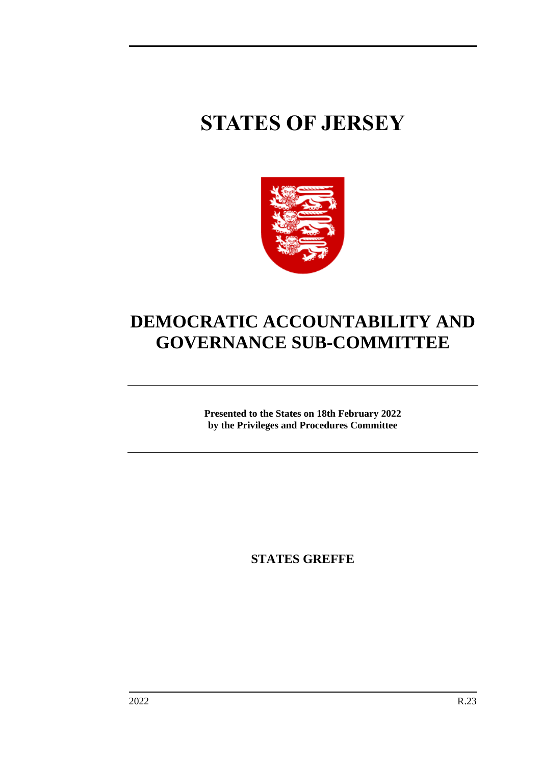# **STATES OF JERSEY**



## **DEMOCRATIC ACCOUNTABILITY AND GOVERNANCE SUB-COMMITTEE**

**Presented to the States on 18th February 2022 by the Privileges and Procedures Committee**

**STATES GREFFE**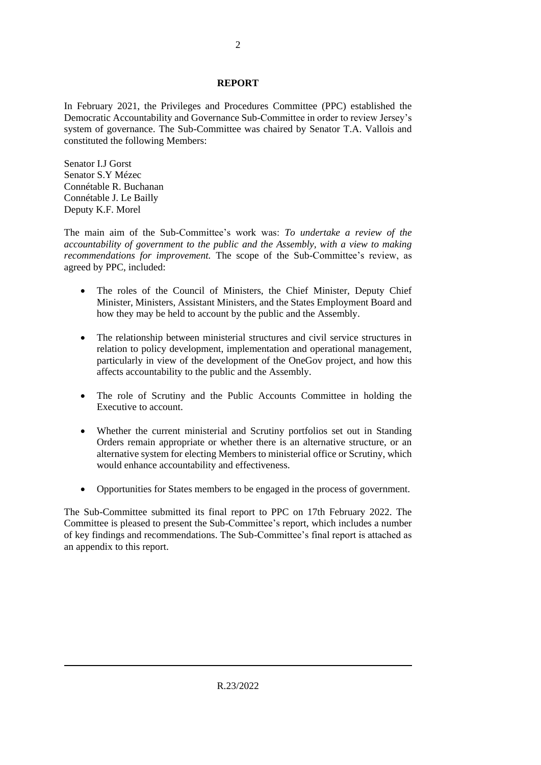#### **REPORT**

In February 2021, the Privileges and Procedures Committee (PPC) established the Democratic Accountability and Governance Sub-Committee in order to review Jersey's system of governance. The Sub-Committee was chaired by Senator T.A. Vallois and constituted the following Members:

Senator I.J Gorst Senator S.Y Mézec Connétable R. Buchanan Connétable J. Le Bailly Deputy K.F. Morel

The main aim of the Sub-Committee's work was: *To undertake a review of the accountability of government to the public and the Assembly, with a view to making recommendations for improvement.* The scope of the Sub-Committee's review, as agreed by PPC, included:

- The roles of the Council of Ministers, the Chief Minister, Deputy Chief Minister, Ministers, Assistant Ministers, and the States Employment Board and how they may be held to account by the public and the Assembly.
- The relationship between ministerial structures and civil service structures in relation to policy development, implementation and operational management, particularly in view of the development of the OneGov project, and how this affects accountability to the public and the Assembly.
- The role of Scrutiny and the Public Accounts Committee in holding the Executive to account.
- Whether the current ministerial and Scrutiny portfolios set out in Standing Orders remain appropriate or whether there is an alternative structure, or an alternative system for electing Members to ministerial office or Scrutiny, which would enhance accountability and effectiveness.
- Opportunities for States members to be engaged in the process of government.

The Sub-Committee submitted its final report to PPC on 17th February 2022. The Committee is pleased to present the Sub-Committee's report, which includes a number of key findings and recommendations. The Sub-Committee's final report is attached as an appendix to this report.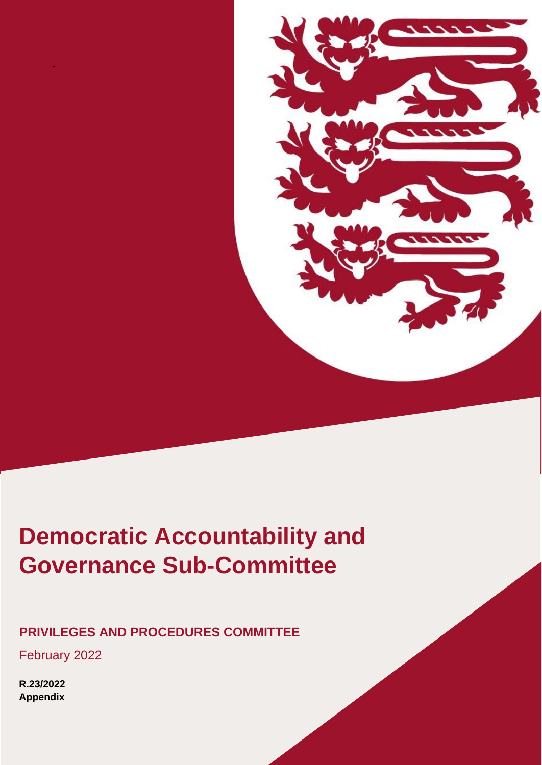

## **Retriction Account**<br>Governance Sub-Co **Democratic Accountability and Governance Sub-Committee**

## **PRIVILEGES AND PROCEDURES COMMITTEE**

February 2022

-

**R.23/2022 Appendix**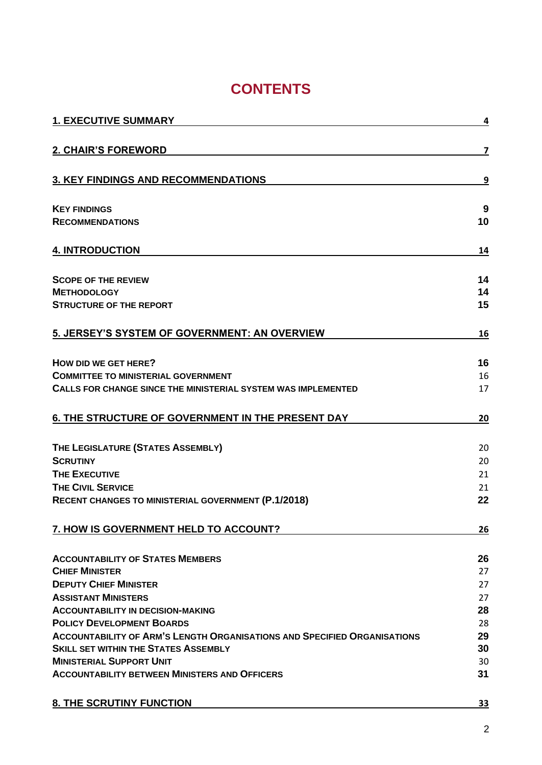## **CONTENTS**

| <b>1. EXECUTIVE SUMMARY</b>                                                     | 4  |
|---------------------------------------------------------------------------------|----|
| 2. CHAIR'S FOREWORD                                                             | 7  |
| <b>3. KEY FINDINGS AND RECOMMENDATIONS</b>                                      | 9  |
| <b>KEY FINDINGS</b>                                                             | 9  |
| <b>RECOMMENDATIONS</b>                                                          | 10 |
| <b>4. INTRODUCTION</b>                                                          | 14 |
| <b>SCOPE OF THE REVIEW</b>                                                      | 14 |
| <b>METHODOLOGY</b>                                                              | 14 |
| <b>STRUCTURE OF THE REPORT</b>                                                  | 15 |
| 5. JERSEY'S SYSTEM OF GOVERNMENT: AN OVERVIEW                                   | 16 |
| HOW DID WE GET HERE?                                                            | 16 |
| <b>COMMITTEE TO MINISTERIAL GOVERNMENT</b>                                      | 16 |
| CALLS FOR CHANGE SINCE THE MINISTERIAL SYSTEM WAS IMPLEMENTED                   | 17 |
| 6. THE STRUCTURE OF GOVERNMENT IN THE PRESENT DAY                               | 20 |
| THE LEGISLATURE (STATES ASSEMBLY)                                               | 20 |
| <b>SCRUTINY</b>                                                                 | 20 |
| <b>THE EXECUTIVE</b>                                                            | 21 |
| <b>THE CIVIL SERVICE</b>                                                        | 21 |
| <b>RECENT CHANGES TO MINISTERIAL GOVERNMENT (P.1/2018)</b>                      | 22 |
| 7. HOW IS GOVERNMENT HELD TO ACCOUNT?                                           | 26 |
| <b>ACCOUNTABILITY OF STATES MEMBERS</b>                                         | 26 |
| <b>CHIEF MINISTER</b>                                                           | 27 |
| <b>DEPUTY CHIEF MINISTER</b>                                                    | 27 |
| <b>ASSISTANT MINISTERS</b>                                                      | 27 |
| <b>ACCOUNTABILITY IN DECISION-MAKING</b>                                        | 28 |
| <b>POLICY DEVELOPMENT BOARDS</b>                                                | 28 |
| <b>ACCOUNTABILITY OF ARM'S LENGTH ORGANISATIONS AND SPECIFIED ORGANISATIONS</b> | 29 |
| <b>SKILL SET WITHIN THE STATES ASSEMBLY</b>                                     | 30 |
| <b>MINISTERIAL SUPPORT UNIT</b>                                                 | 30 |
| <b>ACCOUNTABILITY BETWEEN MINISTERS AND OFFICERS</b>                            | 31 |
| <b>8. THE SCRUTINY FUNCTION</b>                                                 | 33 |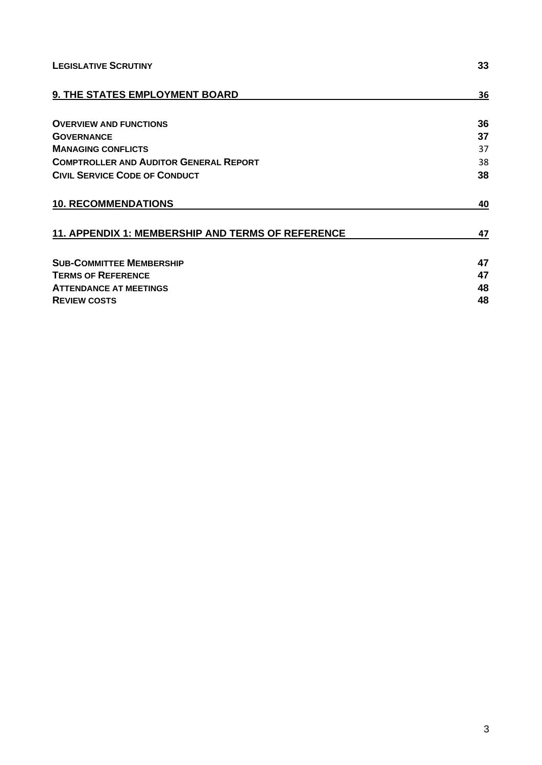| <b>LEGISLATIVE SCRUTINY</b>                       | 33 |
|---------------------------------------------------|----|
| 9. THE STATES EMPLOYMENT BOARD                    | 36 |
| <b>OVERVIEW AND FUNCTIONS</b>                     | 36 |
| <b>GOVERNANCE</b>                                 | 37 |
| <b>MANAGING CONFLICTS</b>                         | 37 |
| <b>COMPTROLLER AND AUDITOR GENERAL REPORT</b>     | 38 |
| <b>CIVIL SERVICE CODE OF CONDUCT</b>              | 38 |
| <b>10. RECOMMENDATIONS</b>                        | 40 |
| 11. APPENDIX 1: MEMBERSHIP AND TERMS OF REFERENCE | 47 |
| <b>SUB-COMMITTEE MEMBERSHIP</b>                   | 47 |
| <b>TERMS OF REFERENCE</b>                         | 47 |
| <b>ATTENDANCE AT MEETINGS</b>                     | 48 |
| <b>REVIEW COSTS</b>                               | 48 |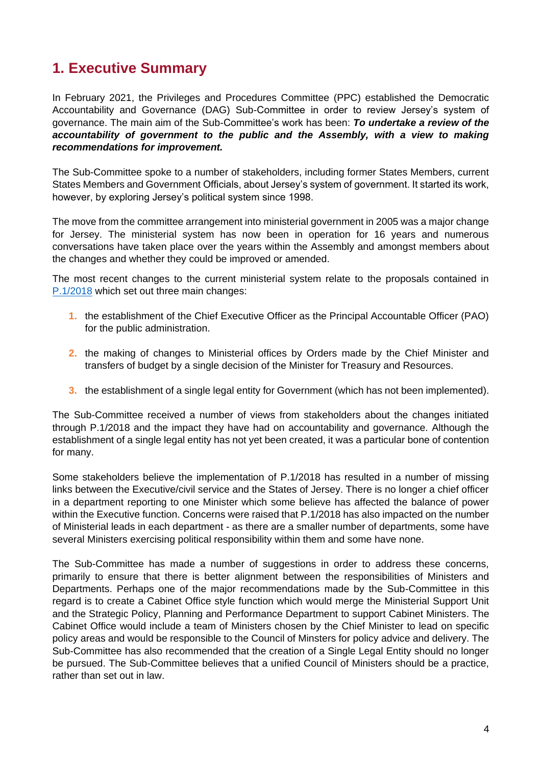## <span id="page-5-0"></span>**1. Executive Summary**

In February 2021, the Privileges and Procedures Committee (PPC) established the Democratic Accountability and Governance (DAG) Sub-Committee in order to review Jersey's system of governance. The main aim of the Sub-Committee's work has been: *To undertake a review of the accountability of government to the public and the Assembly, with a view to making recommendations for improvement.*

The Sub-Committee spoke to a number of stakeholders, including former States Members, current States Members and Government Officials, about Jersey's system of government. It started its work, however, by exploring Jersey's political system since 1998.

The move from the committee arrangement into ministerial government in 2005 was a major change for Jersey. The ministerial system has now been in operation for 16 years and numerous conversations have taken place over the years within the Assembly and amongst members about the changes and whether they could be improved or amended.

The most recent changes to the current ministerial system relate to the proposals contained in [P.1/2018](https://www.jerseylaw.je/laws/enacted/Pages/L-18-2018.aspx#_Toc515631205) which set out three main changes:

- **1.** the establishment of the Chief Executive Officer as the Principal Accountable Officer (PAO) for the public administration.
- **2.** the making of changes to Ministerial offices by Orders made by the Chief Minister and transfers of budget by a single decision of the Minister for Treasury and Resources.
- **3.** the establishment of a single legal entity for Government (which has not been implemented).

The Sub-Committee received a number of views from stakeholders about the changes initiated through P.1/2018 and the impact they have had on accountability and governance. Although the establishment of a single legal entity has not yet been created, it was a particular bone of contention for many.

Some stakeholders believe the implementation of P.1/2018 has resulted in a number of missing links between the Executive/civil service and the States of Jersey. There is no longer a chief officer in a department reporting to one Minister which some believe has affected the balance of power within the Executive function. Concerns were raised that P.1/2018 has also impacted on the number of Ministerial leads in each department - as there are a smaller number of departments, some have several Ministers exercising political responsibility within them and some have none.

The Sub-Committee has made a number of suggestions in order to address these concerns, primarily to ensure that there is better alignment between the responsibilities of Ministers and Departments. Perhaps one of the major recommendations made by the Sub-Committee in this regard is to create a Cabinet Office style function which would merge the Ministerial Support Unit and the Strategic Policy, Planning and Performance Department to support Cabinet Ministers. The Cabinet Office would include a team of Ministers chosen by the Chief Minister to lead on specific policy areas and would be responsible to the Council of Minsters for policy advice and delivery. The Sub-Committee has also recommended that the creation of a Single Legal Entity should no longer be pursued. The Sub-Committee believes that a unified Council of Ministers should be a practice, rather than set out in law.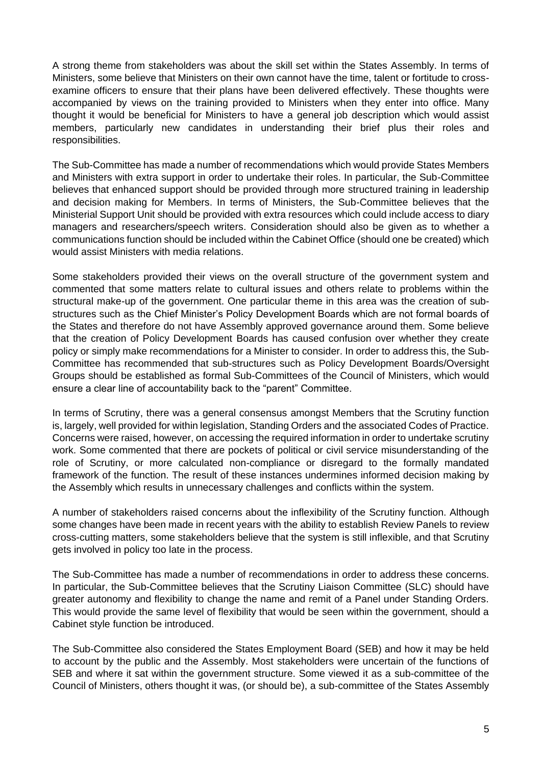A strong theme from stakeholders was about the skill set within the States Assembly. In terms of Ministers, some believe that Ministers on their own cannot have the time, talent or fortitude to crossexamine officers to ensure that their plans have been delivered effectively. These thoughts were accompanied by views on the training provided to Ministers when they enter into office. Many thought it would be beneficial for Ministers to have a general job description which would assist members, particularly new candidates in understanding their brief plus their roles and responsibilities.

The Sub-Committee has made a number of recommendations which would provide States Members and Ministers with extra support in order to undertake their roles. In particular, the Sub-Committee believes that enhanced support should be provided through more structured training in leadership and decision making for Members. In terms of Ministers, the Sub-Committee believes that the Ministerial Support Unit should be provided with extra resources which could include access to diary managers and researchers/speech writers. Consideration should also be given as to whether a communications function should be included within the Cabinet Office (should one be created) which would assist Ministers with media relations.

Some stakeholders provided their views on the overall structure of the government system and commented that some matters relate to cultural issues and others relate to problems within the structural make-up of the government. One particular theme in this area was the creation of substructures such as the Chief Minister's Policy Development Boards which are not formal boards of the States and therefore do not have Assembly approved governance around them. Some believe that the creation of Policy Development Boards has caused confusion over whether they create policy or simply make recommendations for a Minister to consider. In order to address this, the Sub-Committee has recommended that sub-structures such as Policy Development Boards/Oversight Groups should be established as formal Sub-Committees of the Council of Ministers, which would ensure a clear line of accountability back to the "parent" Committee.

In terms of Scrutiny, there was a general consensus amongst Members that the Scrutiny function is, largely, well provided for within legislation, Standing Orders and the associated Codes of Practice. Concerns were raised, however, on accessing the required information in order to undertake scrutiny work. Some commented that there are pockets of political or civil service misunderstanding of the role of Scrutiny, or more calculated non-compliance or disregard to the formally mandated framework of the function. The result of these instances undermines informed decision making by the Assembly which results in unnecessary challenges and conflicts within the system.

A number of stakeholders raised concerns about the inflexibility of the Scrutiny function. Although some changes have been made in recent years with the ability to establish Review Panels to review cross-cutting matters, some stakeholders believe that the system is still inflexible, and that Scrutiny gets involved in policy too late in the process.

The Sub-Committee has made a number of recommendations in order to address these concerns. In particular, the Sub-Committee believes that the Scrutiny Liaison Committee (SLC) should have greater autonomy and flexibility to change the name and remit of a Panel under Standing Orders. This would provide the same level of flexibility that would be seen within the government, should a Cabinet style function be introduced.

The Sub-Committee also considered the States Employment Board (SEB) and how it may be held to account by the public and the Assembly. Most stakeholders were uncertain of the functions of SEB and where it sat within the government structure. Some viewed it as a sub-committee of the Council of Ministers, others thought it was, (or should be), a sub-committee of the States Assembly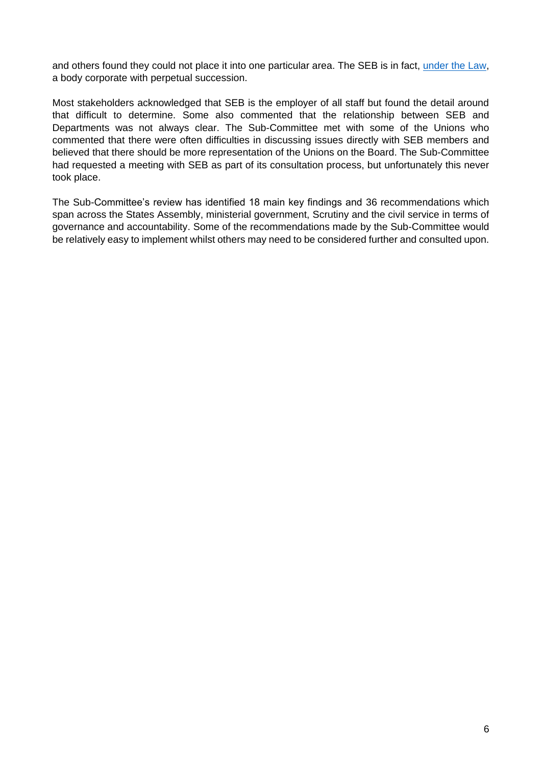and others found they could not place it into one particular area. The SEB is in fact, [under the Law,](https://www.jerseylaw.je/laws/current/PDFs/16.325.pdf) a body corporate with perpetual succession.

Most stakeholders acknowledged that SEB is the employer of all staff but found the detail around that difficult to determine. Some also commented that the relationship between SEB and Departments was not always clear. The Sub-Committee met with some of the Unions who commented that there were often difficulties in discussing issues directly with SEB members and believed that there should be more representation of the Unions on the Board. The Sub-Committee had requested a meeting with SEB as part of its consultation process, but unfortunately this never took place.

The Sub-Committee's review has identified 18 main key findings and 36 recommendations which span across the States Assembly, ministerial government, Scrutiny and the civil service in terms of governance and accountability. Some of the recommendations made by the Sub-Committee would be relatively easy to implement whilst others may need to be considered further and consulted upon.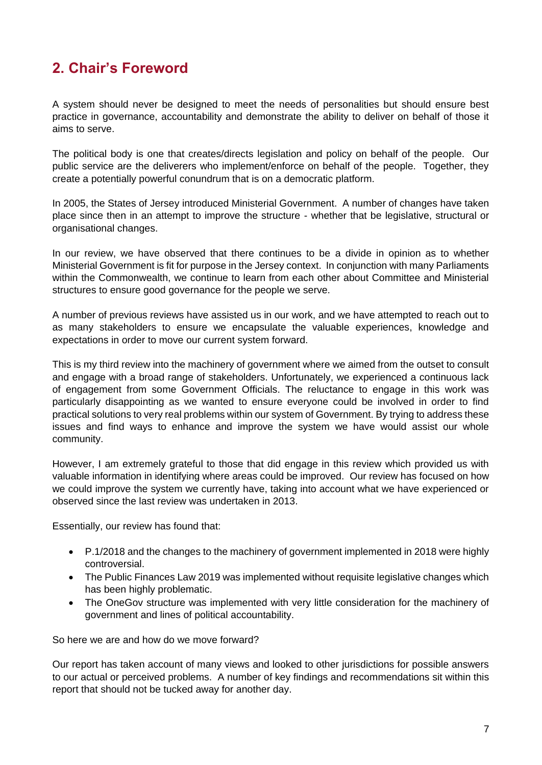## <span id="page-8-0"></span>**2. Chair's Foreword**

A system should never be designed to meet the needs of personalities but should ensure best practice in governance, accountability and demonstrate the ability to deliver on behalf of those it aims to serve.

The political body is one that creates/directs legislation and policy on behalf of the people. Our public service are the deliverers who implement/enforce on behalf of the people. Together, they create a potentially powerful conundrum that is on a democratic platform.

In 2005, the States of Jersey introduced Ministerial Government. A number of changes have taken place since then in an attempt to improve the structure - whether that be legislative, structural or organisational changes.

In our review, we have observed that there continues to be a divide in opinion as to whether Ministerial Government is fit for purpose in the Jersey context. In conjunction with many Parliaments within the Commonwealth, we continue to learn from each other about Committee and Ministerial structures to ensure good governance for the people we serve.

A number of previous reviews have assisted us in our work, and we have attempted to reach out to as many stakeholders to ensure we encapsulate the valuable experiences, knowledge and expectations in order to move our current system forward.

This is my third review into the machinery of government where we aimed from the outset to consult and engage with a broad range of stakeholders. Unfortunately, we experienced a continuous lack of engagement from some Government Officials. The reluctance to engage in this work was particularly disappointing as we wanted to ensure everyone could be involved in order to find practical solutions to very real problems within our system of Government. By trying to address these issues and find ways to enhance and improve the system we have would assist our whole community.

However, I am extremely grateful to those that did engage in this review which provided us with valuable information in identifying where areas could be improved. Our review has focused on how we could improve the system we currently have, taking into account what we have experienced or observed since the last review was undertaken in 2013.

Essentially, our review has found that:

- P.1/2018 and the changes to the machinery of government implemented in 2018 were highly controversial.
- The Public Finances Law 2019 was implemented without requisite legislative changes which has been highly problematic.
- The OneGov structure was implemented with very little consideration for the machinery of government and lines of political accountability.

So here we are and how do we move forward?

Our report has taken account of many views and looked to other jurisdictions for possible answers to our actual or perceived problems. A number of key findings and recommendations sit within this report that should not be tucked away for another day.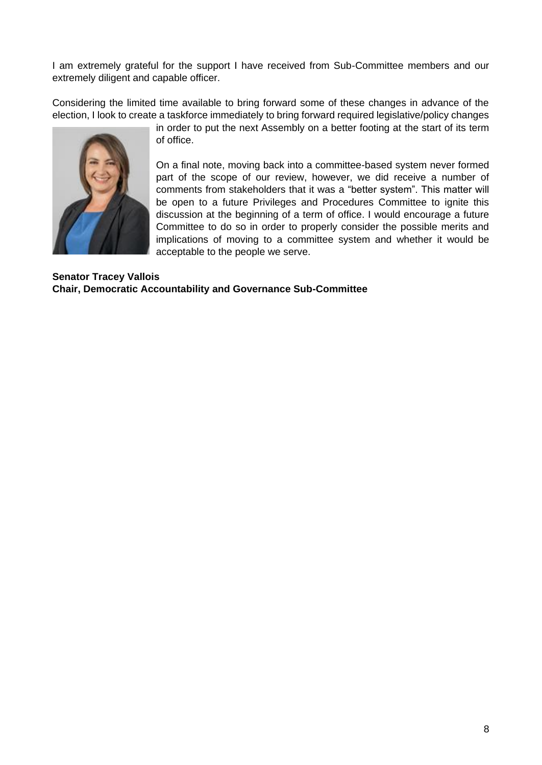I am extremely grateful for the support I have received from Sub-Committee members and our extremely diligent and capable officer.

Considering the limited time available to bring forward some of these changes in advance of the election, I look to create a taskforce immediately to bring forward required legislative/policy changes



in order to put the next Assembly on a better footing at the start of its term of office.

On a final note, moving back into a committee-based system never formed part of the scope of our review, however, we did receive a number of comments from stakeholders that it was a "better system". This matter will be open to a future Privileges and Procedures Committee to ignite this discussion at the beginning of a term of office. I would encourage a future Committee to do so in order to properly consider the possible merits and implications of moving to a committee system and whether it would be acceptable to the people we serve.

#### **Senator Tracey Vallois Chair, Democratic Accountability and Governance Sub-Committee**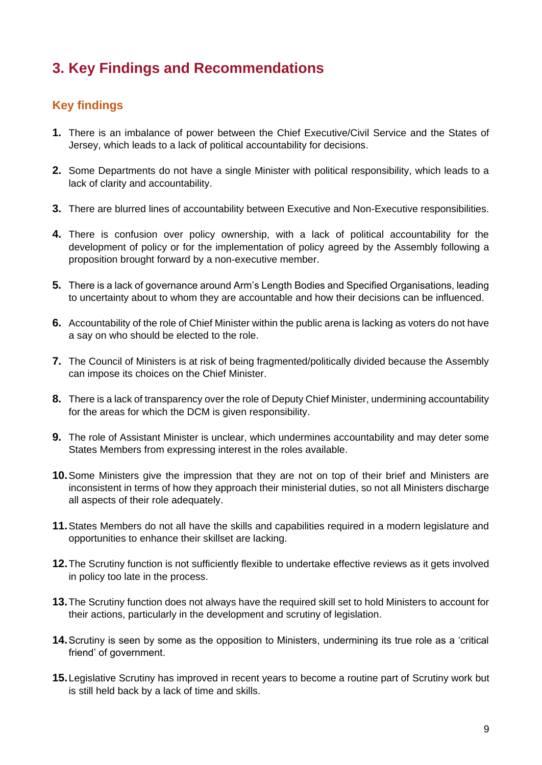## <span id="page-10-0"></span>**3. Key Findings and Recommendations**

## <span id="page-10-1"></span>**Key findings**

- **1.** There is an imbalance of power between the Chief Executive/Civil Service and the States of Jersey, which leads to a lack of political accountability for decisions.
- **2.** Some Departments do not have a single Minister with political responsibility, which leads to a lack of clarity and accountability.
- **3.** There are blurred lines of accountability between Executive and Non-Executive responsibilities.
- **4.** There is confusion over policy ownership, with a lack of political accountability for the development of policy or for the implementation of policy agreed by the Assembly following a proposition brought forward by a non-executive member.
- **5.** There is a lack of governance around Arm's Length Bodies and Specified Organisations, leading to uncertainty about to whom they are accountable and how their decisions can be influenced.
- **6.** Accountability of the role of Chief Minister within the public arena is lacking as voters do not have a say on who should be elected to the role.
- **7.** The Council of Ministers is at risk of being fragmented/politically divided because the Assembly can impose its choices on the Chief Minister.
- **8.** There is a lack of transparency over the role of Deputy Chief Minister, undermining accountability for the areas for which the DCM is given responsibility.
- **9.** The role of Assistant Minister is unclear, which undermines accountability and may deter some States Members from expressing interest in the roles available.
- **10.**Some Ministers give the impression that they are not on top of their brief and Ministers are inconsistent in terms of how they approach their ministerial duties, so not all Ministers discharge all aspects of their role adequately.
- **11.**States Members do not all have the skills and capabilities required in a modern legislature and opportunities to enhance their skillset are lacking.
- **12.**The Scrutiny function is not sufficiently flexible to undertake effective reviews as it gets involved in policy too late in the process.
- **13.**The Scrutiny function does not always have the required skill set to hold Ministers to account for their actions, particularly in the development and scrutiny of legislation.
- **14.**Scrutiny is seen by some as the opposition to Ministers, undermining its true role as a 'critical friend' of government.
- **15.**Legislative Scrutiny has improved in recent years to become a routine part of Scrutiny work but is still held back by a lack of time and skills.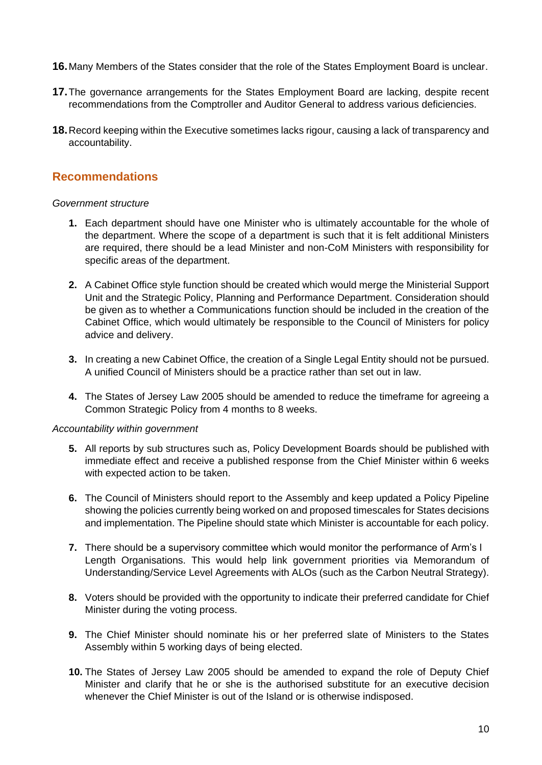- **16.**Many Members of the States consider that the role of the States Employment Board is unclear.
- **17.**The governance arrangements for the States Employment Board are lacking, despite recent recommendations from the Comptroller and Auditor General to address various deficiencies.
- **18.**Record keeping within the Executive sometimes lacks rigour, causing a lack of transparency and accountability.

### <span id="page-11-0"></span>**Recommendations**

#### *Government structure*

- **1.** Each department should have one Minister who is ultimately accountable for the whole of the department. Where the scope of a department is such that it is felt additional Ministers are required, there should be a lead Minister and non-CoM Ministers with responsibility for specific areas of the department.
- **2.** A Cabinet Office style function should be created which would merge the Ministerial Support Unit and the Strategic Policy, Planning and Performance Department. Consideration should be given as to whether a Communications function should be included in the creation of the Cabinet Office, which would ultimately be responsible to the Council of Ministers for policy advice and delivery.
- **3.** In creating a new Cabinet Office, the creation of a Single Legal Entity should not be pursued. A unified Council of Ministers should be a practice rather than set out in law.
- **4.** The States of Jersey Law 2005 should be amended to reduce the timeframe for agreeing a Common Strategic Policy from 4 months to 8 weeks.

#### *Accountability within government*

- **5.** All reports by sub structures such as, Policy Development Boards should be published with immediate effect and receive a published response from the Chief Minister within 6 weeks with expected action to be taken.
- **6.** The Council of Ministers should report to the Assembly and keep updated a Policy Pipeline showing the policies currently being worked on and proposed timescales for States decisions and implementation. The Pipeline should state which Minister is accountable for each policy.
- **7.** There should be a supervisory committee which would monitor the performance of Arm's l Length Organisations. This would help link government priorities via Memorandum of Understanding/Service Level Agreements with ALOs (such as the Carbon Neutral Strategy).
- **8.** Voters should be provided with the opportunity to indicate their preferred candidate for Chief Minister during the voting process.
- **9.** The Chief Minister should nominate his or her preferred slate of Ministers to the States Assembly within 5 working days of being elected.
- **10.** The States of Jersey Law 2005 should be amended to expand the role of Deputy Chief Minister and clarify that he or she is the authorised substitute for an executive decision whenever the Chief Minister is out of the Island or is otherwise indisposed.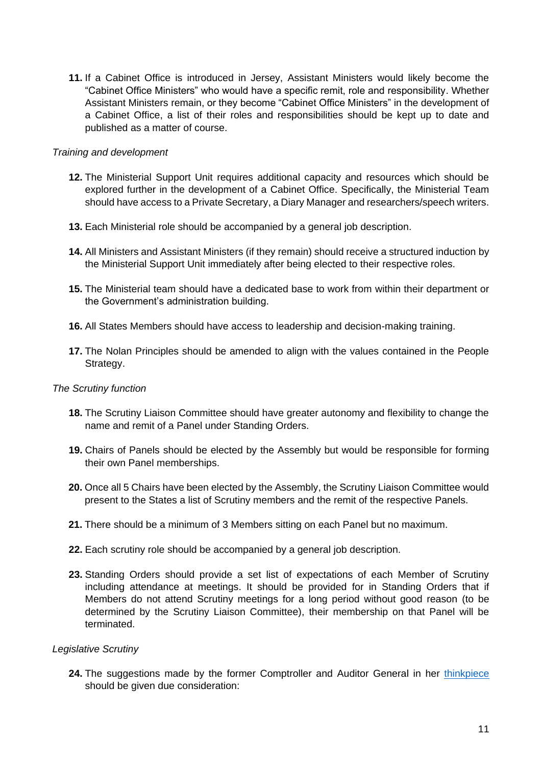**11.** If a Cabinet Office is introduced in Jersey, Assistant Ministers would likely become the "Cabinet Office Ministers" who would have a specific remit, role and responsibility. Whether Assistant Ministers remain, or they become "Cabinet Office Ministers" in the development of a Cabinet Office, a list of their roles and responsibilities should be kept up to date and published as a matter of course.

#### *Training and development*

- **12.** The Ministerial Support Unit requires additional capacity and resources which should be explored further in the development of a Cabinet Office. Specifically, the Ministerial Team should have access to a Private Secretary, a Diary Manager and researchers/speech writers.
- **13.** Each Ministerial role should be accompanied by a general job description.
- **14.** All Ministers and Assistant Ministers (if they remain) should receive a structured induction by the Ministerial Support Unit immediately after being elected to their respective roles.
- **15.** The Ministerial team should have a dedicated base to work from within their department or the Government's administration building.
- **16.** All States Members should have access to leadership and decision-making training.
- **17.** The Nolan Principles should be amended to align with the values contained in the People Strategy.

#### *The Scrutiny function*

- **18.** The Scrutiny Liaison Committee should have greater autonomy and flexibility to change the name and remit of a Panel under Standing Orders.
- **19.** Chairs of Panels should be elected by the Assembly but would be responsible for forming their own Panel memberships.
- **20.** Once all 5 Chairs have been elected by the Assembly, the Scrutiny Liaison Committee would present to the States a list of Scrutiny members and the remit of the respective Panels.
- **21.** There should be a minimum of 3 Members sitting on each Panel but no maximum.
- **22.** Each scrutiny role should be accompanied by a general job description.
- **23.** Standing Orders should provide a set list of expectations of each Member of Scrutiny including attendance at meetings. It should be provided for in Standing Orders that if Members do not attend Scrutiny meetings for a long period without good reason (to be determined by the Scrutiny Liaison Committee), their membership on that Panel will be terminated.

#### *Legislative Scrutiny*

**24.** The suggestions made by the former Comptroller and Auditor General in her [thinkpiece](https://www.jerseyauditoffice.je/wp-content/uploads/2019/12/Report-Governance-A-Thinkpiece-18.12.2019.pdf) should be given due consideration: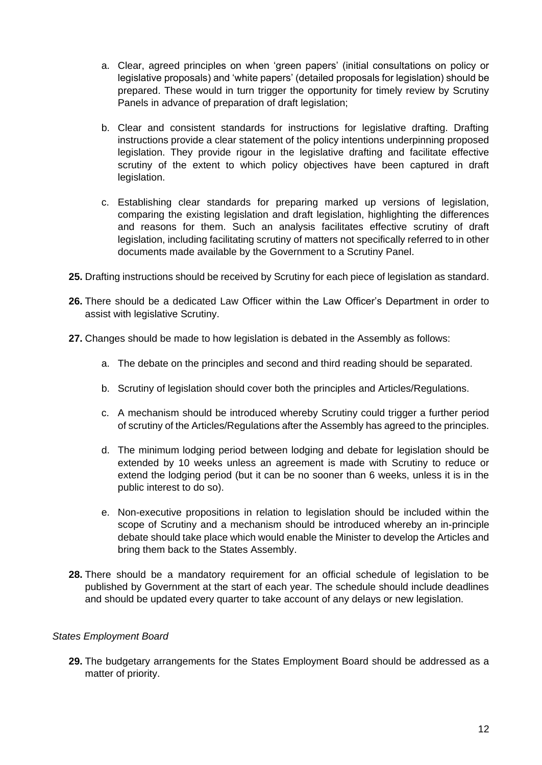- a. Clear, agreed principles on when 'green papers' (initial consultations on policy or legislative proposals) and 'white papers' (detailed proposals for legislation) should be prepared. These would in turn trigger the opportunity for timely review by Scrutiny Panels in advance of preparation of draft legislation;
- b. Clear and consistent standards for instructions for legislative drafting. Drafting instructions provide a clear statement of the policy intentions underpinning proposed legislation. They provide rigour in the legislative drafting and facilitate effective scrutiny of the extent to which policy objectives have been captured in draft legislation.
- c. Establishing clear standards for preparing marked up versions of legislation, comparing the existing legislation and draft legislation, highlighting the differences and reasons for them. Such an analysis facilitates effective scrutiny of draft legislation, including facilitating scrutiny of matters not specifically referred to in other documents made available by the Government to a Scrutiny Panel.
- **25.** Drafting instructions should be received by Scrutiny for each piece of legislation as standard.
- **26.** There should be a dedicated Law Officer within the Law Officer's Department in order to assist with legislative Scrutiny.
- **27.** Changes should be made to how legislation is debated in the Assembly as follows:
	- a. The debate on the principles and second and third reading should be separated.
	- b. Scrutiny of legislation should cover both the principles and Articles/Regulations.
	- c. A mechanism should be introduced whereby Scrutiny could trigger a further period of scrutiny of the Articles/Regulations after the Assembly has agreed to the principles.
	- d. The minimum lodging period between lodging and debate for legislation should be extended by 10 weeks unless an agreement is made with Scrutiny to reduce or extend the lodging period (but it can be no sooner than 6 weeks, unless it is in the public interest to do so).
	- e. Non-executive propositions in relation to legislation should be included within the scope of Scrutiny and a mechanism should be introduced whereby an in-principle debate should take place which would enable the Minister to develop the Articles and bring them back to the States Assembly.
- **28.** There should be a mandatory requirement for an official schedule of legislation to be published by Government at the start of each year. The schedule should include deadlines and should be updated every quarter to take account of any delays or new legislation.

#### *States Employment Board*

**29.** The budgetary arrangements for the States Employment Board should be addressed as a matter of priority.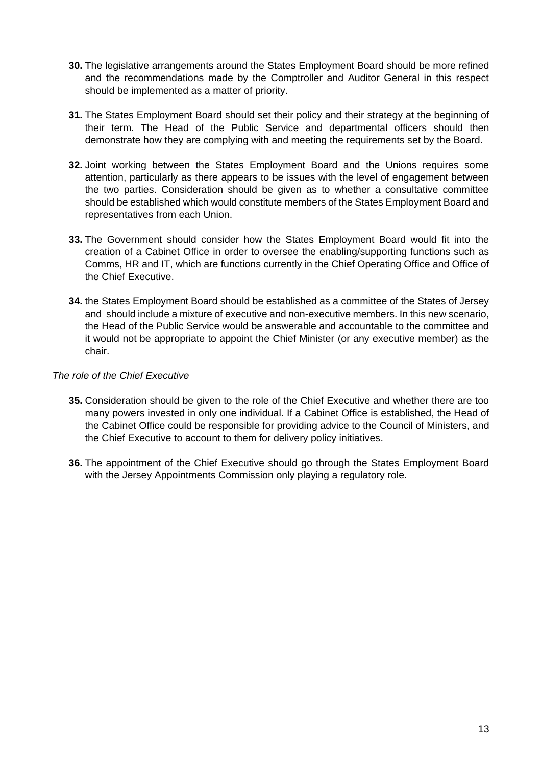- **30.** The legislative arrangements around the States Employment Board should be more refined and the recommendations made by the Comptroller and Auditor General in this respect should be implemented as a matter of priority.
- **31.** The States Employment Board should set their policy and their strategy at the beginning of their term. The Head of the Public Service and departmental officers should then demonstrate how they are complying with and meeting the requirements set by the Board.
- **32.** Joint working between the States Employment Board and the Unions requires some attention, particularly as there appears to be issues with the level of engagement between the two parties. Consideration should be given as to whether a consultative committee should be established which would constitute members of the States Employment Board and representatives from each Union.
- **33.** The Government should consider how the States Employment Board would fit into the creation of a Cabinet Office in order to oversee the enabling/supporting functions such as Comms, HR and IT, which are functions currently in the Chief Operating Office and Office of the Chief Executive.
- **34.** the States Employment Board should be established as a committee of the States of Jersey and should include a mixture of executive and non-executive members. In this new scenario, the Head of the Public Service would be answerable and accountable to the committee and it would not be appropriate to appoint the Chief Minister (or any executive member) as the chair.

#### *The role of the Chief Executive*

- **35.** Consideration should be given to the role of the Chief Executive and whether there are too many powers invested in only one individual. If a Cabinet Office is established, the Head of the Cabinet Office could be responsible for providing advice to the Council of Ministers, and the Chief Executive to account to them for delivery policy initiatives.
- **36.** The appointment of the Chief Executive should go through the States Employment Board with the Jersey Appointments Commission only playing a regulatory role.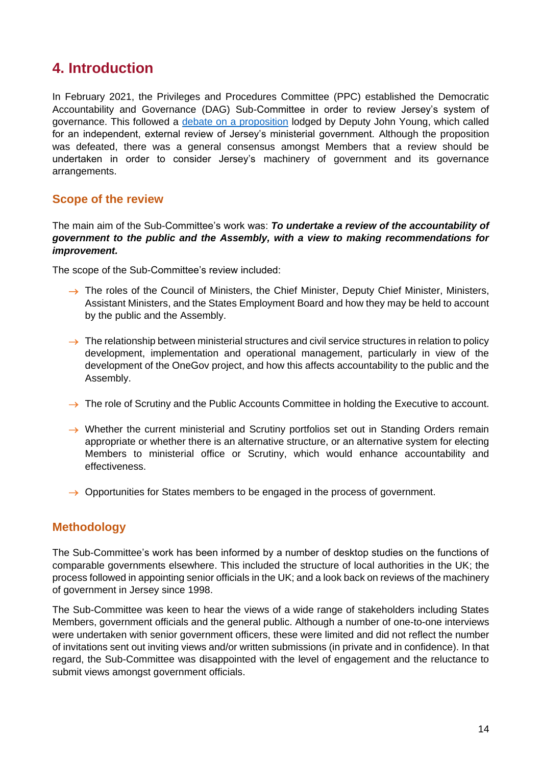## <span id="page-15-0"></span>**4. Introduction**

In February 2021, the Privileges and Procedures Committee (PPC) established the Democratic Accountability and Governance (DAG) Sub-Committee in order to review Jersey's system of governance. This followed a [debate on a proposition](https://statesassembly.gov.je/assemblypropositions/2020/p.98-2020%20ministerial%20government%20review%20%5bdep%20john%20young%5d.pdf) lodged by Deputy John Young, which called for an independent, external review of Jersey's ministerial government. Although the proposition was defeated, there was a general consensus amongst Members that a review should be undertaken in order to consider Jersey's machinery of government and its governance arrangements.

## <span id="page-15-1"></span>**Scope of the review**

The main aim of the Sub-Committee's work was: *To undertake a review of the accountability of government to the public and the Assembly, with a view to making recommendations for improvement.* 

The scope of the Sub-Committee's review included:

- $\rightarrow$  The roles of the Council of Ministers, the Chief Minister, Deputy Chief Minister, Ministers, Assistant Ministers, and the States Employment Board and how they may be held to account by the public and the Assembly.
- $\rightarrow$  The relationship between ministerial structures and civil service structures in relation to policy development, implementation and operational management, particularly in view of the development of the OneGov project, and how this affects accountability to the public and the Assembly.
- $\rightarrow$  The role of Scrutiny and the Public Accounts Committee in holding the Executive to account.
- → Whether the current ministerial and Scrutiny portfolios set out in Standing Orders remain appropriate or whether there is an alternative structure, or an alternative system for electing Members to ministerial office or Scrutiny, which would enhance accountability and effectiveness.
- $\rightarrow$  Opportunities for States members to be engaged in the process of government.

### <span id="page-15-2"></span>**Methodology**

The Sub-Committee's work has been informed by a number of desktop studies on the functions of comparable governments elsewhere. This included the structure of local authorities in the UK; the process followed in appointing senior officials in the UK; and a look back on reviews of the machinery of government in Jersey since 1998.

The Sub-Committee was keen to hear the views of a wide range of stakeholders including States Members, government officials and the general public. Although a number of one-to-one interviews were undertaken with senior government officers, these were limited and did not reflect the number of invitations sent out inviting views and/or written submissions (in private and in confidence). In that regard, the Sub-Committee was disappointed with the level of engagement and the reluctance to submit views amongst government officials.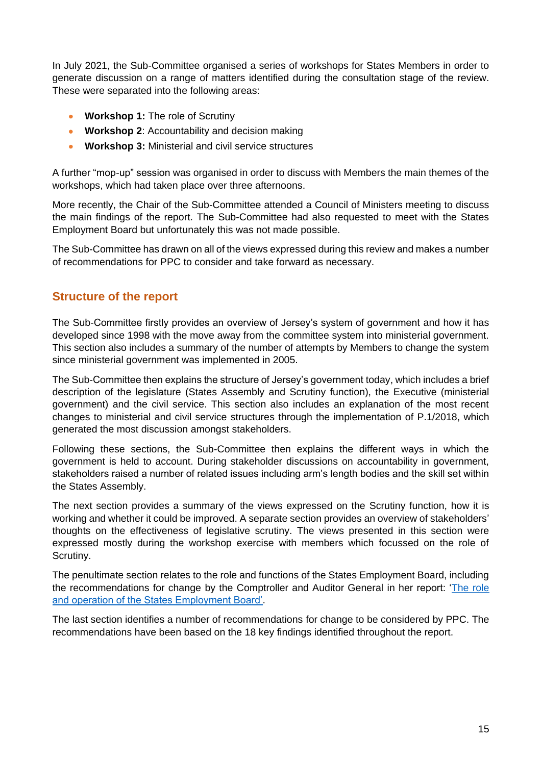In July 2021, the Sub-Committee organised a series of workshops for States Members in order to generate discussion on a range of matters identified during the consultation stage of the review. These were separated into the following areas:

- **Workshop 1:** The role of Scrutiny
- **Workshop 2**: Accountability and decision making
- **Workshop 3:** Ministerial and civil service structures

A further "mop-up" session was organised in order to discuss with Members the main themes of the workshops, which had taken place over three afternoons.

More recently, the Chair of the Sub-Committee attended a Council of Ministers meeting to discuss the main findings of the report. The Sub-Committee had also requested to meet with the States Employment Board but unfortunately this was not made possible.

The Sub-Committee has drawn on all of the views expressed during this review and makes a number of recommendations for PPC to consider and take forward as necessary.

### <span id="page-16-0"></span>**Structure of the report**

The Sub-Committee firstly provides an overview of Jersey's system of government and how it has developed since 1998 with the move away from the committee system into ministerial government. This section also includes a summary of the number of attempts by Members to change the system since ministerial government was implemented in 2005.

The Sub-Committee then explains the structure of Jersey's government today, which includes a brief description of the legislature (States Assembly and Scrutiny function), the Executive (ministerial government) and the civil service. This section also includes an explanation of the most recent changes to ministerial and civil service structures through the implementation of P.1/2018, which generated the most discussion amongst stakeholders.

Following these sections, the Sub-Committee then explains the different ways in which the government is held to account. During stakeholder discussions on accountability in government, stakeholders raised a number of related issues including arm's length bodies and the skill set within the States Assembly.

The next section provides a summary of the views expressed on the Scrutiny function, how it is working and whether it could be improved. A separate section provides an overview of stakeholders' thoughts on the effectiveness of legislative scrutiny. The views presented in this section were expressed mostly during the workshop exercise with members which focussed on the role of Scrutiny.

The penultimate section relates to the role and functions of the States Employment Board, including the recommendations for change by the Comptroller and Auditor General in her report: 'The role [and operation of the States Employment Board'.](https://www.jerseyauditoffice.je/wp-content/uploads/2019/03/Role-and-Operation-of-the-States-Employment-Board-Report.pdf)

The last section identifies a number of recommendations for change to be considered by PPC. The recommendations have been based on the 18 key findings identified throughout the report.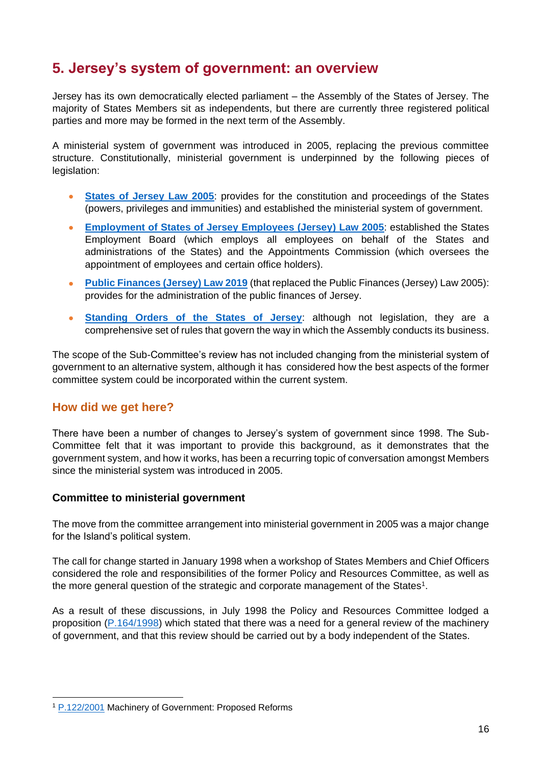## <span id="page-17-0"></span>**5. Jersey's system of government: an overview**

Jersey has its own democratically elected parliament – the Assembly of the States of Jersey. The majority of States Members sit as independents, but there are currently three registered political parties and more may be formed in the next term of the Assembly.

A ministerial system of government was introduced in 2005, replacing the previous committee structure. Constitutionally, ministerial government is underpinned by the following pieces of legislation:

- **[States of Jersey Law 2005](https://www.jerseylaw.je/laws/current/PDFs/16.800.pdf)**: provides for the constitution and proceedings of the States (powers, privileges and immunities) and established the ministerial system of government.
- **[Employment of States of Jersey Employees \(Jersey\) Law 2005](https://www.jerseylaw.je/laws/current/PDFs/16.325.pdf)**: established the States Employment Board (which employs all employees on behalf of the States and administrations of the States) and the Appointments Commission (which oversees the appointment of employees and certain office holders).
- **[Public Finances \(Jersey\) Law 2019](https://www.jerseylaw.je/laws/enacted/PDFs/L-10-2019.pdf)** (that replaced the Public Finances (Jersey) Law 2005): provides for the administration of the public finances of Jersey.
- **[Standing Orders of the States of Jersey](https://statesassembly.gov.je/SiteCollectionDocuments/States%20Assembly/2021.09.02%20Standing%20Orders%20of%20the%20States%20of%20Jersey.pdf)**: although not legislation, they are a comprehensive set of rules that govern the way in which the Assembly conducts its business.

The scope of the Sub-Committee's review has not included changing from the ministerial system of government to an alternative system, although it has considered how the best aspects of the former committee system could be incorporated within the current system.

### <span id="page-17-1"></span>**How did we get here?**

There have been a number of changes to Jersey's system of government since 1998. The Sub-Committee felt that it was important to provide this background, as it demonstrates that the government system, and how it works, has been a recurring topic of conversation amongst Members since the ministerial system was introduced in 2005.

#### <span id="page-17-2"></span>**Committee to ministerial government**

The move from the committee arrangement into ministerial government in 2005 was a major change for the Island's political system.

The call for change started in January 1998 when a workshop of States Members and Chief Officers considered the role and responsibilities of the former Policy and Resources Committee, as well as the more general question of the strategic and corporate management of the States<sup>1</sup>.

As a result of these discussions, in July 1998 the Policy and Resources Committee lodged a proposition [\(P.164/1998\)](https://statesassembly.gov.je/assemblypropositions/1998/47868-6089-792006.pdf) which stated that there was a need for a general review of the machinery of government, and that this review should be carried out by a body independent of the States.

<sup>1</sup> [P.122/2001](https://statesassembly.gov.je/assemblypropositions/2001/42743-11307.pdf) Machinery of Government: Proposed Reforms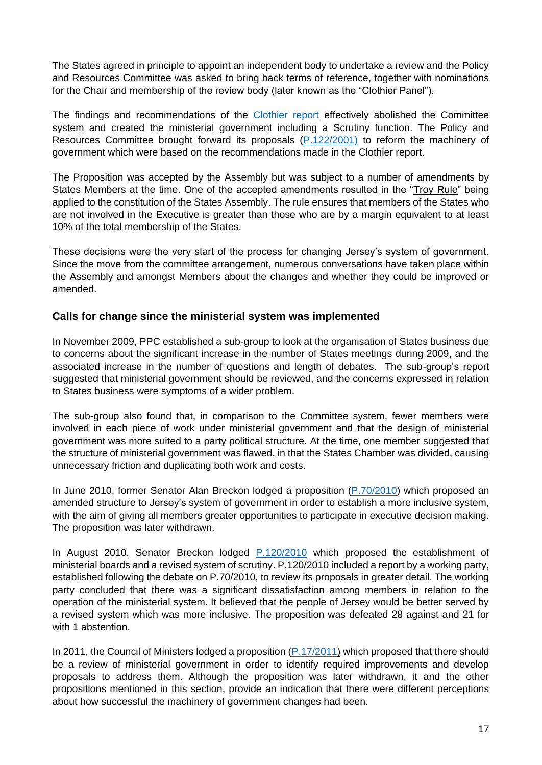The States agreed in principle to appoint an independent body to undertake a review and the Policy and Resources Committee was asked to bring back terms of reference, together with nominations for the Chair and membership of the review body (later known as the "Clothier Panel").

The findings and recommendations of the [Clothier report](https://www.gov.je/SiteCollectionDocuments/Government%20and%20administration/ID%20ClothierReport%20100331%20CC.pdf) effectively abolished the Committee system and created the ministerial government including a Scrutiny function. The Policy and Resources Committee brought forward its proposals [\(P.122/2001\)](https://statesassembly.gov.je/assemblypropositions/2001/42743-11307.pdf) to reform the machinery of government which were based on the recommendations made in the Clothier report.

The Proposition was accepted by the Assembly but was subject to a number of amendments by States Members at the time. One of the accepted amendments resulted in the ["Troy Rule"](https://statesassembly.gov.je/assemblypropositions/2001/18152-3830.pdf) being applied to the constitution of the States Assembly. The rule ensures that members of the States who are not involved in the Executive is greater than those who are by a margin equivalent to at least 10% of the total membership of the States.

These decisions were the very start of the process for changing Jersey's system of government. Since the move from the committee arrangement, numerous conversations have taken place within the Assembly and amongst Members about the changes and whether they could be improved or amended.

#### <span id="page-18-0"></span>**Calls for change since the ministerial system was implemented**

In November 2009, PPC established a sub-group to look at the organisation of States business due to concerns about the significant increase in the number of States meetings during 2009, and the associated increase in the number of questions and length of debates. The sub-group's report suggested that ministerial government should be reviewed, and the concerns expressed in relation to States business were symptoms of a wider problem.

The sub-group also found that, in comparison to the Committee system, fewer members were involved in each piece of work under ministerial government and that the design of ministerial government was more suited to a party political structure. At the time, one member suggested that the structure of ministerial government was flawed, in that the States Chamber was divided, causing unnecessary friction and duplicating both work and costs.

In June 2010, former Senator Alan Breckon lodged a proposition [\(P.70/2010\)](https://statesassembly.gov.je/assemblypropositions/2010/9449-30720-362010.pdf) which proposed an amended structure to Jersey's system of government in order to establish a more inclusive system, with the aim of giving all members greater opportunities to participate in executive decision making. The proposition was later withdrawn.

In August 2010, Senator Breckon lodged [P.120/2010](https://statesassembly.gov.je/assemblypropositions/2010/42309-5578-2682010.pdf) which proposed the establishment of ministerial boards and a revised system of scrutiny. P.120/2010 included a report by a working party, established following the debate on P.70/2010, to review its proposals in greater detail. The working party concluded that there was a significant dissatisfaction among members in relation to the operation of the ministerial system. It believed that the people of Jersey would be better served by a revised system which was more inclusive. The proposition was defeated 28 against and 21 for with 1 abstention.

In 2011, the Council of Ministers lodged a proposition [\(P.17/2011\)](https://statesassembly.gov.je/assemblypropositions/2011/p.76-2011.pdf) which proposed that there should be a review of ministerial government in order to identify required improvements and develop proposals to address them. Although the proposition was later withdrawn, it and the other propositions mentioned in this section, provide an indication that there were different perceptions about how successful the machinery of government changes had been.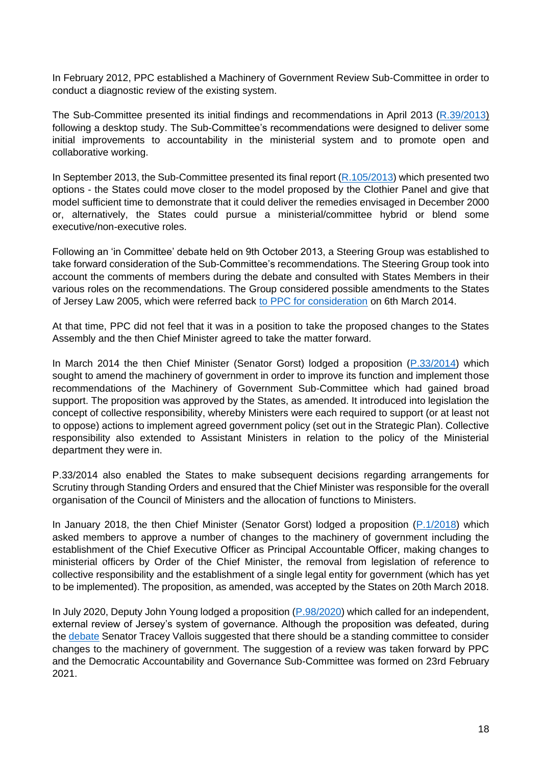In February 2012, PPC established a Machinery of Government Review Sub-Committee in order to conduct a diagnostic review of the existing system.

The Sub-Committee presented its initial findings and recommendations in April 2013 [\(R.39/2013\)](https://statesassembly.gov.je/assemblyreports/2013/r.039-2013.pdf) following a desktop study. The Sub-Committee's recommendations were designed to deliver some initial improvements to accountability in the ministerial system and to promote open and collaborative working.

In September 2013, the Sub-Committee presented its final report [\(R.105/2013\)](https://statesassembly.gov.je/assemblyreports/2013/r.105-2013.pdf) which presented two options - the States could move closer to the model proposed by the Clothier Panel and give that model sufficient time to demonstrate that it could deliver the remedies envisaged in December 2000 or, alternatively, the States could pursue a ministerial/committee hybrid or blend some executive/non-executive roles.

Following an 'in Committee' debate held on 9th October 2013, a Steering Group was established to take forward consideration of the Sub-Committee's recommendations. The Steering Group took into account the comments of members during the debate and consulted with States Members in their various roles on the recommendations. The Group considered possible amendments to the States of Jersey Law 2005, which were referred back [to PPC for consideration](https://statesassembly.gov.je/assemblypropositions/2014/p.033-2014com.pdf) on 6th March 2014.

At that time, PPC did not feel that it was in a position to take the proposed changes to the States Assembly and the then Chief Minister agreed to take the matter forward.

In March 2014 the then Chief Minister (Senator Gorst) lodged a proposition [\(P.33/2014\)](https://statesassembly.gov.je/assemblypropositions/2014/p.033-2014.pdf) which sought to amend the machinery of government in order to improve its function and implement those recommendations of the Machinery of Government Sub-Committee which had gained broad support. The proposition was approved by the States, as amended. It introduced into legislation the concept of collective responsibility, whereby Ministers were each required to support (or at least not to oppose) actions to implement agreed government policy (set out in the Strategic Plan). Collective responsibility also extended to Assistant Ministers in relation to the policy of the Ministerial department they were in.

P.33/2014 also enabled the States to make subsequent decisions regarding arrangements for Scrutiny through Standing Orders and ensured that the Chief Minister was responsible for the overall organisation of the Council of Ministers and the allocation of functions to Ministers.

In January 2018, the then Chief Minister (Senator Gorst) lodged a proposition [\(P.1/2018\)](https://statesassembly.gov.je/assemblypropositions/2018/p.1-2018.pdf) which asked members to approve a number of changes to the machinery of government including the establishment of the Chief Executive Officer as Principal Accountable Officer, making changes to ministerial officers by Order of the Chief Minister, the removal from legislation of reference to collective responsibility and the establishment of a single legal entity for government (which has yet to be implemented). The proposition, as amended, was accepted by the States on 20th March 2018.

In July 2020, Deputy John Young lodged a proposition [\(P.98/2020\)](https://statesassembly.gov.je/assemblypropositions/2020/p.98-2020%20ministerial%20government%20review%20%5bdep%20john%20young%5d.pdf) which called for an independent, external review of Jersey's system of governance. Although the proposition was defeated, during the [debate](https://statesassembly.gov.je/assemblyhansard/2020/2020.09.24%20-%20states%20-%20edited%20transcript%20(final).pdf) Senator Tracey Vallois suggested that there should be a standing committee to consider changes to the machinery of government. The suggestion of a review was taken forward by PPC and the Democratic Accountability and Governance Sub-Committee was formed on 23rd February 2021.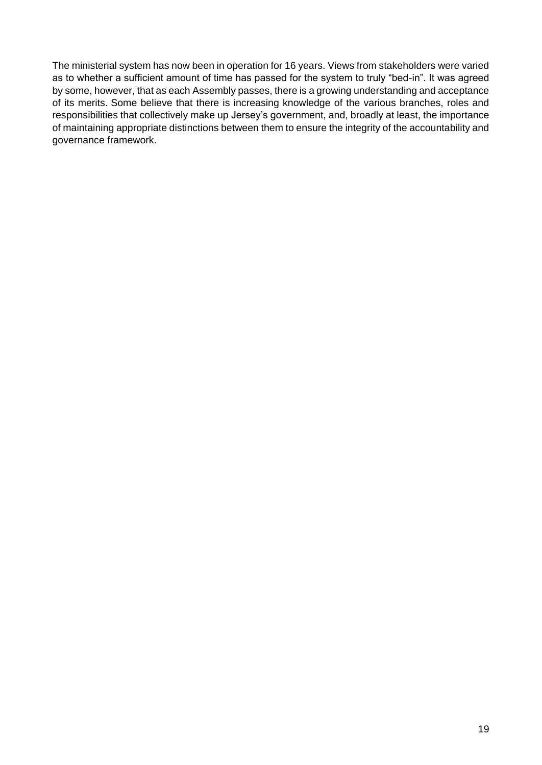The ministerial system has now been in operation for 16 years. Views from stakeholders were varied as to whether a sufficient amount of time has passed for the system to truly "bed-in". It was agreed by some, however, that as each Assembly passes, there is a growing understanding and acceptance of its merits. Some believe that there is increasing knowledge of the various branches, roles and responsibilities that collectively make up Jersey's government, and, broadly at least, the importance of maintaining appropriate distinctions between them to ensure the integrity of the accountability and governance framework.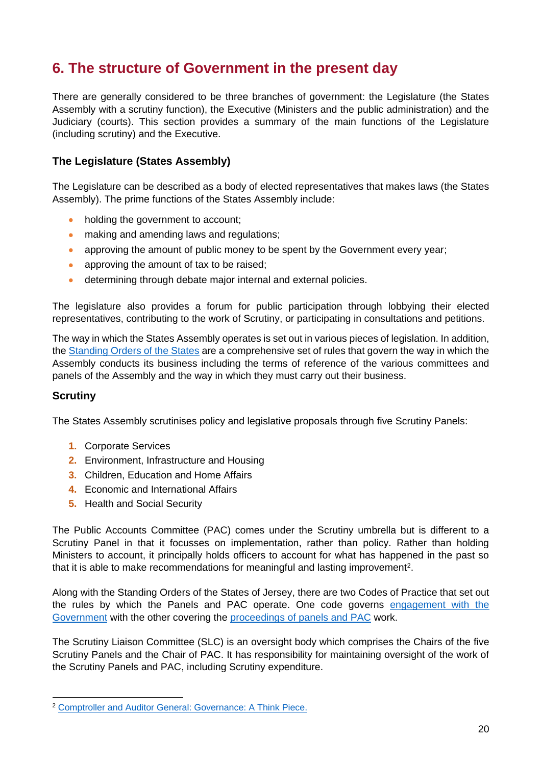## <span id="page-21-0"></span>**6. The structure of Government in the present day**

There are generally considered to be three branches of government: the Legislature (the States Assembly with a scrutiny function), the Executive (Ministers and the public administration) and the Judiciary (courts). This section provides a summary of the main functions of the Legislature (including scrutiny) and the Executive.

### <span id="page-21-1"></span>**The Legislature (States Assembly)**

The Legislature can be described as a body of elected representatives that makes laws (the States Assembly). The prime functions of the States Assembly include:

- holding the government to account;
- making and amending laws and regulations;
- approving the amount of public money to be spent by the Government every year;
- approving the amount of tax to be raised:
- determining through debate major internal and external policies.

The legislature also provides a forum for public participation through lobbying their elected representatives, contributing to the work of Scrutiny, or participating in consultations and petitions.

The way in which the States Assembly operates is set out in various pieces of legislation. In addition, the [Standing Orders of the States](https://statesassembly.gov.je/SiteCollectionDocuments/States%20Assembly/2021.09.02%20Standing%20Orders%20of%20the%20States%20of%20Jersey.pdf) are a comprehensive set of rules that govern the way in which the Assembly conducts its business including the terms of reference of the various committees and panels of the Assembly and the way in which they must carry out their business.

#### <span id="page-21-2"></span>**Scrutiny**

The States Assembly scrutinises policy and legislative proposals through five Scrutiny Panels:

- **1.** Corporate Services
- **2.** Environment, Infrastructure and Housing
- **3.** Children, Education and Home Affairs
- **4.** Economic and International Affairs
- **5.** Health and Social Security

The Public Accounts Committee (PAC) comes under the Scrutiny umbrella but is different to a Scrutiny Panel in that it focusses on implementation, rather than policy. Rather than holding Ministers to account, it principally holds officers to account for what has happened in the past so that it is able to make recommendations for meaningful and lasting improvement<sup>2</sup>.

Along with the Standing Orders of the States of Jersey, there are two Codes of Practice that set out the rules by which the Panels and PAC operate. One code governs [engagement with the](https://statesassembly.gov.je/sitecollectiondocuments/pacengagementcode.pdf)  [Government](https://statesassembly.gov.je/sitecollectiondocuments/pacengagementcode.pdf) with the other covering the [proceedings of panels](https://statesassembly.gov.je/committees/publishingimages/pages/scrutinypanelscommittees/scrutiny%20-pac%20proceedings%20code%20of%20practice%20final.pdf) and PAC work.

The Scrutiny Liaison Committee (SLC) is an oversight body which comprises the Chairs of the five Scrutiny Panels and the Chair of PAC. It has responsibility for maintaining oversight of the work of the Scrutiny Panels and PAC, including Scrutiny expenditure.

<sup>2</sup> [Comptroller and Auditor General: Governance: A Think Piece.](https://www.jerseyauditoffice.je/wp-content/uploads/2019/12/Report-Governance-A-Thinkpiece-18.12.2019.pdf)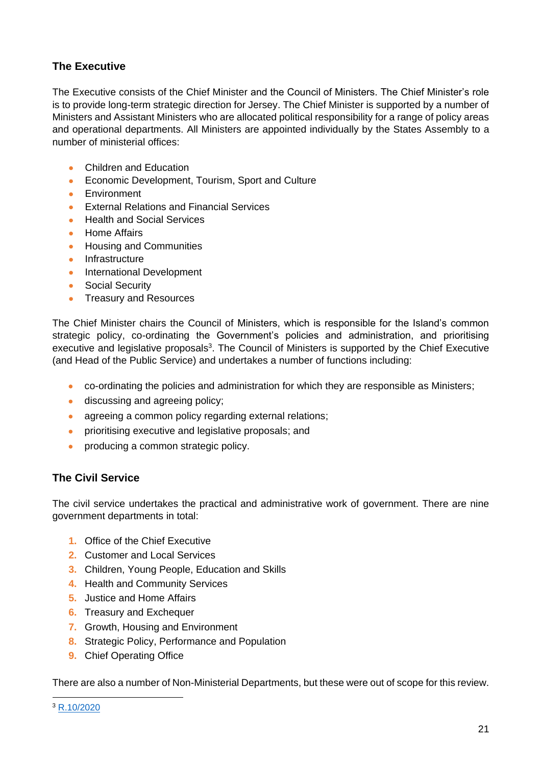## <span id="page-22-0"></span>**The Executive**

The Executive consists of the Chief Minister and the Council of Ministers. The Chief Minister's role is to provide long-term strategic direction for Jersey. The Chief Minister is supported by a number of Ministers and Assistant Ministers who are allocated political responsibility for a range of policy areas and operational departments. All Ministers are appointed individually by the States Assembly to a number of ministerial offices:

- Children and Education
- Economic Development, Tourism, Sport and Culture
- **Environment**
- External Relations and Financial Services
- Health and Social Services
- Home Affairs
- Housing and Communities
- Infrastructure
- International Development
- Social Security
- Treasury and Resources

The Chief Minister chairs the Council of Ministers, which is responsible for the Island's common strategic policy, co-ordinating the Government's policies and administration, and prioritising executive and legislative proposals<sup>3</sup>. The Council of Ministers is supported by the Chief Executive (and Head of the Public Service) and undertakes a number of functions including:

- co-ordinating the policies and administration for which they are responsible as Ministers;
- discussing and agreeing policy;
- agreeing a common policy regarding external relations;
- prioritising executive and legislative proposals; and
- producing a common strategic policy.

### <span id="page-22-1"></span>**The Civil Service**

The civil service undertakes the practical and administrative work of government. There are nine government departments in total:

- **1.** Office of the Chief Executive
- **2.** Customer and Local Services
- **3.** Children, Young People, Education and Skills
- **4.** Health and Community Services
- **5.** Justice and Home Affairs
- **6.** Treasury and Exchequer
- **7.** Growth, Housing and Environment
- **8.** Strategic Policy, Performance and Population
- **9.** Chief Operating Office

There are also a number of Non-Ministerial Departments, but these were out of scope for this review.

<sup>3</sup> [R.10/2020](https://statesassembly.gov.je/assemblyreports/2020/r.10-2020.pdf?_gl=1*1oa6rta*_ga*OTMyMjQ0NTkzLjE2MzUxMDM1NDc.*_ga_07GM08Q17P*MTYzNTExMDI0OC4yLjEuMTYzNTExMjU2MC4w)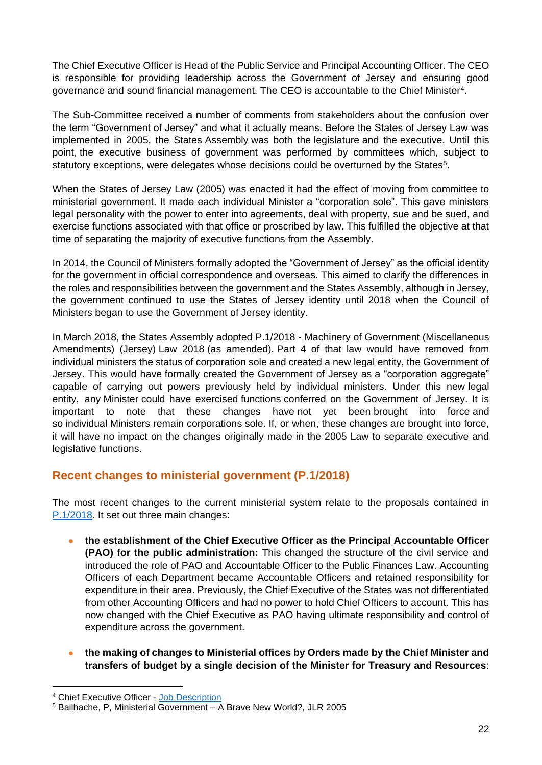The Chief Executive Officer is Head of the Public Service and Principal Accounting Officer. The CEO is responsible for providing leadership across the Government of Jersey and ensuring good governance and sound financial management. The CEO is accountable to the Chief Minister<sup>4</sup>.

The Sub-Committee received a number of comments from stakeholders about the confusion over the term "Government of Jersey" and what it actually means. Before the States of Jersey Law was implemented in 2005, the States Assembly was both the legislature and the executive. Until this point, the executive business of government was performed by committees which, subject to statutory exceptions, were delegates whose decisions could be overturned by the States<sup>5</sup>.

When the States of Jersey Law (2005) was enacted it had the effect of moving from committee to ministerial government. It made each individual Minister a "corporation sole". This gave ministers legal personality with the power to enter into agreements, deal with property, sue and be sued, and exercise functions associated with that office or proscribed by law. This fulfilled the objective at that time of separating the majority of executive functions from the Assembly.

In 2014, the Council of Ministers formally adopted the "Government of Jersey" as the official identity for the government in official correspondence and overseas. This aimed to clarify the differences in the roles and responsibilities between the government and the States Assembly, although in Jersey, the government continued to use the States of Jersey identity until 2018 when the Council of Ministers began to use the Government of Jersey identity.

In March 2018, the States Assembly adopted P.1/2018 - Machinery of Government (Miscellaneous Amendments) (Jersey) Law 2018 (as amended). Part 4 of that law would have removed from individual ministers the status of corporation sole and created a new legal entity, the Government of Jersey. This would have formally created the Government of Jersey as a "corporation aggregate" capable of carrying out powers previously held by individual ministers. Under this new legal entity, any Minister could have exercised functions conferred on the Government of Jersey. It is important to note that these changes have not yet been brought into force and so individual Ministers remain corporations sole. If, or when, these changes are brought into force, it will have no impact on the changes originally made in the 2005 Law to separate executive and legislative functions.

### <span id="page-23-0"></span>**Recent changes to ministerial government (P.1/2018)**

The most recent changes to the current ministerial system relate to the proposals contained in [P.1/2018.](https://www.jerseylaw.je/laws/enacted/Pages/L-18-2018.aspx#_Toc515631205) It set out three main changes:

- **the establishment of the Chief Executive Officer as the Principal Accountable Officer (PAO) for the public administration:** This changed the structure of the civil service and introduced the role of PAO and Accountable Officer to the Public Finances Law. Accounting Officers of each Department became Accountable Officers and retained responsibility for expenditure in their area. Previously, the Chief Executive of the States was not differentiated from other Accounting Officers and had no power to hold Chief Officers to account. This has now changed with the Chief Executive as PAO having ultimate responsibility and control of expenditure across the government.
- **the making of changes to Ministerial offices by Orders made by the Chief Minister and transfers of budget by a single decision of the Minister for Treasury and Resources**:

<sup>4</sup> Chief Executive Officer - [Job Description](https://ceo.gov.je/media/1142/goj-chief-executive-role-profile-final.pdf)

<sup>5</sup> Bailhache, P, Ministerial Government – A Brave New World?, JLR 2005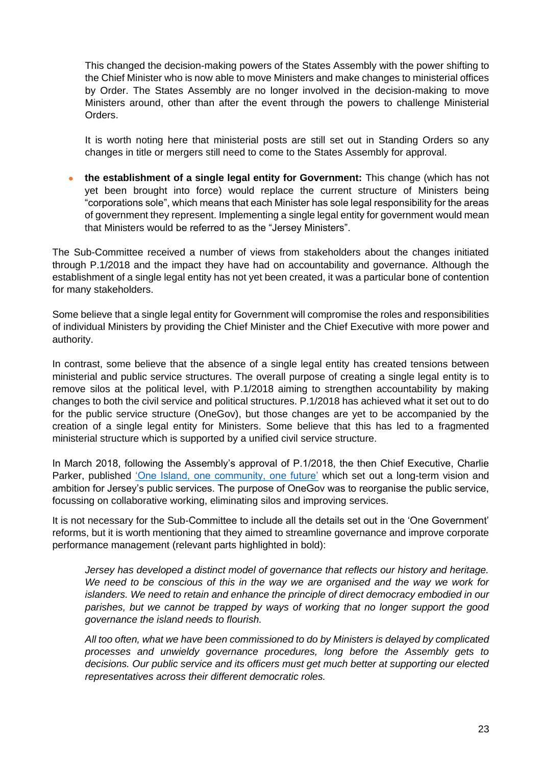This changed the decision-making powers of the States Assembly with the power shifting to the Chief Minister who is now able to move Ministers and make changes to ministerial offices by Order. The States Assembly are no longer involved in the decision-making to move Ministers around, other than after the event through the powers to challenge Ministerial Orders.

It is worth noting here that ministerial posts are still set out in Standing Orders so any changes in title or mergers still need to come to the States Assembly for approval.

• **the establishment of a single legal entity for Government:** This change (which has not yet been brought into force) would replace the current structure of Ministers being "corporations sole", which means that each Minister has sole legal responsibility for the areas of government they represent. Implementing a single legal entity for government would mean that Ministers would be referred to as the "Jersey Ministers".

The Sub-Committee received a number of views from stakeholders about the changes initiated through P.1/2018 and the impact they have had on accountability and governance. Although the establishment of a single legal entity has not yet been created, it was a particular bone of contention for many stakeholders.

Some believe that a single legal entity for Government will compromise the roles and responsibilities of individual Ministers by providing the Chief Minister and the Chief Executive with more power and authority.

In contrast, some believe that the absence of a single legal entity has created tensions between ministerial and public service structures. The overall purpose of creating a single legal entity is to remove silos at the political level, with P.1/2018 aiming to strengthen accountability by making changes to both the civil service and political structures. P.1/2018 has achieved what it set out to do for the public service structure (OneGov), but those changes are yet to be accompanied by the creation of a single legal entity for Ministers. Some believe that this has led to a fragmented ministerial structure which is supported by a unified civil service structure.

In March 2018, following the Assembly's approval of P.1/2018, the then Chief Executive, Charlie Parker, published ['One Island, one community, one](https://www.gov.je/sitecollectiondocuments/government%20and%20administration/20180306%20one%20island%20one%20community%20one%20government%20one%20future.pdf) future' which set out a long-term vision and ambition for Jersey's public services. The purpose of OneGov was to reorganise the public service, focussing on collaborative working, eliminating silos and improving services.

It is not necessary for the Sub-Committee to include all the details set out in the 'One Government' reforms, but it is worth mentioning that they aimed to streamline governance and improve corporate performance management (relevant parts highlighted in bold):

*Jersey has developed a distinct model of governance that reflects our history and heritage. We need to be conscious of this in the way we are organised and the way we work for islanders. We need to retain and enhance the principle of direct democracy embodied in our parishes, but we cannot be trapped by ways of working that no longer support the good governance the island needs to flourish.* 

*All too often, what we have been commissioned to do by Ministers is delayed by complicated processes and unwieldy governance procedures, long before the Assembly gets to decisions. Our public service and its officers must get much better at supporting our elected representatives across their different democratic roles.*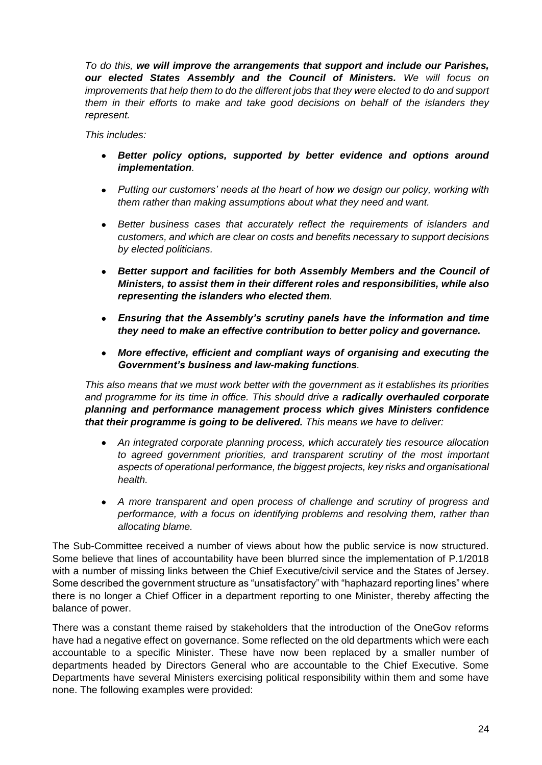*To do this, we will improve the arrangements that support and include our Parishes, our elected States Assembly and the Council of Ministers. We will focus on improvements that help them to do the different jobs that they were elected to do and support them in their efforts to make and take good decisions on behalf of the islanders they represent.* 

*This includes:* 

- *Better policy options, supported by better evidence and options around implementation.*
- *Putting our customers' needs at the heart of how we design our policy, working with them rather than making assumptions about what they need and want.*
- *Better business cases that accurately reflect the requirements of islanders and customers, and which are clear on costs and benefits necessary to support decisions by elected politicians.*
- *Better support and facilities for both Assembly Members and the Council of Ministers, to assist them in their different roles and responsibilities, while also representing the islanders who elected them.*
- *Ensuring that the Assembly's scrutiny panels have the information and time they need to make an effective contribution to better policy and governance.*
- *More effective, efficient and compliant ways of organising and executing the Government's business and law-making functions.*

*This also means that we must work better with the government as it establishes its priorities and programme for its time in office. This should drive a radically overhauled corporate planning and performance management process which gives Ministers confidence that their programme is going to be delivered. This means we have to deliver:* 

- *An integrated corporate planning process, which accurately ties resource allocation to agreed government priorities, and transparent scrutiny of the most important aspects of operational performance, the biggest projects, key risks and organisational health.*
- *A more transparent and open process of challenge and scrutiny of progress and performance, with a focus on identifying problems and resolving them, rather than allocating blame.*

The Sub-Committee received a number of views about how the public service is now structured. Some believe that lines of accountability have been blurred since the implementation of P.1/2018 with a number of missing links between the Chief Executive/civil service and the States of Jersey. Some described the government structure as "unsatisfactory" with "haphazard reporting lines" where there is no longer a Chief Officer in a department reporting to one Minister, thereby affecting the balance of power.

There was a constant theme raised by stakeholders that the introduction of the OneGov reforms have had a negative effect on governance. Some reflected on the old departments which were each accountable to a specific Minister. These have now been replaced by a smaller number of departments headed by Directors General who are accountable to the Chief Executive. Some Departments have several Ministers exercising political responsibility within them and some have none. The following examples were provided: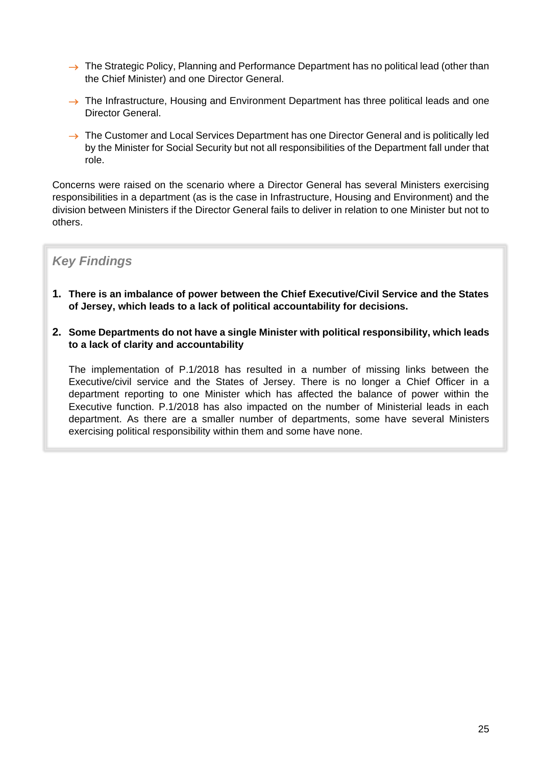- $\rightarrow$  The Strategic Policy, Planning and Performance Department has no political lead (other than the Chief Minister) and one Director General.
- $\rightarrow$  The Infrastructure, Housing and Environment Department has three political leads and one Director General.
- $\rightarrow$  The Customer and Local Services Department has one Director General and is politically led by the Minister for Social Security but not all responsibilities of the Department fall under that role.

Concerns were raised on the scenario where a Director General has several Ministers exercising responsibilities in a department (as is the case in Infrastructure, Housing and Environment) and the division between Ministers if the Director General fails to deliver in relation to one Minister but not to others.

## *Key Findings*

- **1. There is an imbalance of power between the Chief Executive/Civil Service and the States of Jersey, which leads to a lack of political accountability for decisions.**
- **2. Some Departments do not have a single Minister with political responsibility, which leads to a lack of clarity and accountability**

The implementation of P.1/2018 has resulted in a number of missing links between the Executive/civil service and the States of Jersey. There is no longer a Chief Officer in a department reporting to one Minister which has affected the balance of power within the Executive function. P.1/2018 has also impacted on the number of Ministerial leads in each department. As there are a smaller number of departments, some have several Ministers exercising political responsibility within them and some have none.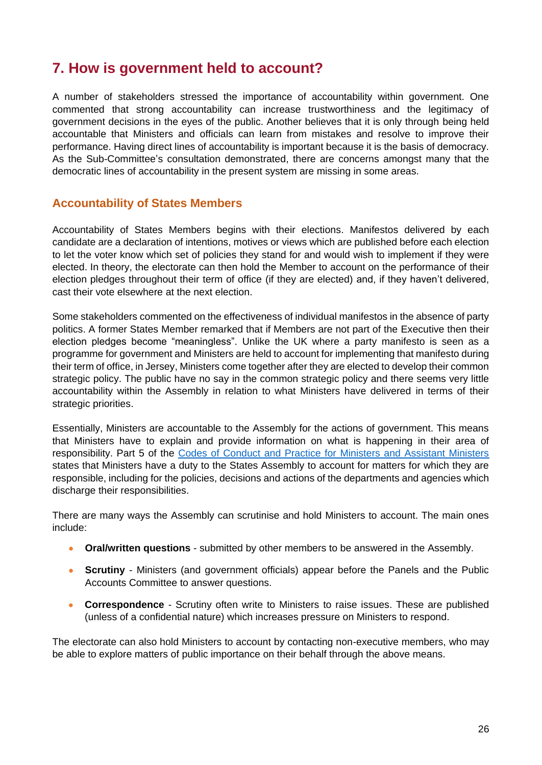## <span id="page-27-0"></span>**7. How is government held to account?**

A number of stakeholders stressed the importance of accountability within government. One commented that strong accountability can increase trustworthiness and the legitimacy of government decisions in the eyes of the public. Another believes that it is only through being held accountable that Ministers and officials can learn from mistakes and resolve to improve their performance. Having direct lines of accountability is important because it is the basis of democracy. As the Sub-Committee's consultation demonstrated, there are concerns amongst many that the democratic lines of accountability in the present system are missing in some areas.

## <span id="page-27-1"></span>**Accountability of States Members**

Accountability of States Members begins with their elections. Manifestos delivered by each candidate are a declaration of intentions, motives or views which are published before each election to let the voter know which set of policies they stand for and would wish to implement if they were elected. In theory, the electorate can then hold the Member to account on the performance of their election pledges throughout their term of office (if they are elected) and, if they haven't delivered, cast their vote elsewhere at the next election.

Some stakeholders commented on the effectiveness of individual manifestos in the absence of party politics. A former States Member remarked that if Members are not part of the Executive then their election pledges become "meaningless". Unlike the UK where a party manifesto is seen as a programme for government and Ministers are held to account for implementing that manifesto during their term of office, in Jersey, Ministers come together after they are elected to develop their common strategic policy. The public have no say in the common strategic policy and there seems very little accountability within the Assembly in relation to what Ministers have delivered in terms of their strategic priorities.

Essentially, Ministers are accountable to the Assembly for the actions of government. This means that Ministers have to explain and provide information on what is happening in their area of responsibility. Part 5 of the [Codes of Conduct and Practice for Ministers and Assistant Ministers](https://statesassembly.gov.je/assemblyreports/2018/r.116-2018.pdf) states that Ministers have a duty to the States Assembly to account for matters for which they are responsible, including for the policies, decisions and actions of the departments and agencies which discharge their responsibilities.

There are many ways the Assembly can scrutinise and hold Ministers to account. The main ones include:

- **Oral/written questions** submitted by other members to be answered in the Assembly.
- **Scrutiny** Ministers (and government officials) appear before the Panels and the Public Accounts Committee to answer questions.
- **Correspondence** Scrutiny often write to Ministers to raise issues. These are published (unless of a confidential nature) which increases pressure on Ministers to respond.

The electorate can also hold Ministers to account by contacting non-executive members, who may be able to explore matters of public importance on their behalf through the above means.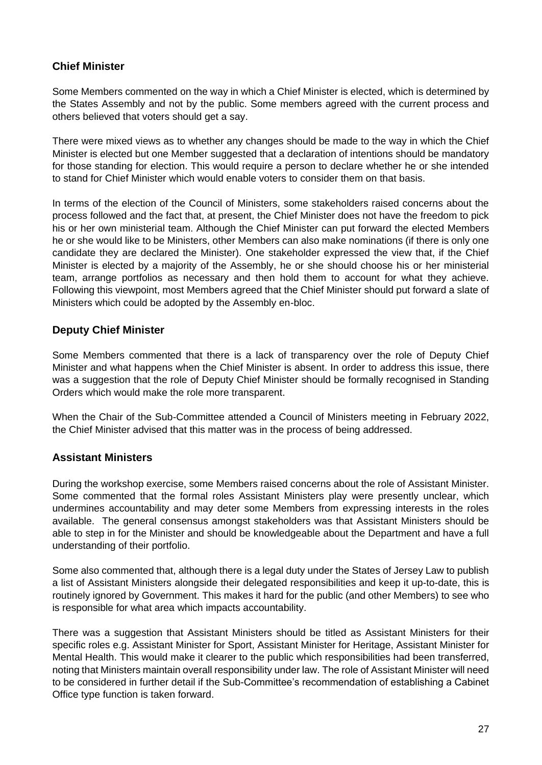### <span id="page-28-0"></span>**Chief Minister**

Some Members commented on the way in which a Chief Minister is elected, which is determined by the States Assembly and not by the public. Some members agreed with the current process and others believed that voters should get a say.

There were mixed views as to whether any changes should be made to the way in which the Chief Minister is elected but one Member suggested that a declaration of intentions should be mandatory for those standing for election. This would require a person to declare whether he or she intended to stand for Chief Minister which would enable voters to consider them on that basis.

In terms of the election of the Council of Ministers, some stakeholders raised concerns about the process followed and the fact that, at present, the Chief Minister does not have the freedom to pick his or her own ministerial team. Although the Chief Minister can put forward the elected Members he or she would like to be Ministers, other Members can also make nominations (if there is only one candidate they are declared the Minister). One stakeholder expressed the view that, if the Chief Minister is elected by a majority of the Assembly, he or she should choose his or her ministerial team, arrange portfolios as necessary and then hold them to account for what they achieve. Following this viewpoint, most Members agreed that the Chief Minister should put forward a slate of Ministers which could be adopted by the Assembly en-bloc.

### <span id="page-28-1"></span>**Deputy Chief Minister**

Some Members commented that there is a lack of transparency over the role of Deputy Chief Minister and what happens when the Chief Minister is absent. In order to address this issue, there was a suggestion that the role of Deputy Chief Minister should be formally recognised in Standing Orders which would make the role more transparent.

When the Chair of the Sub-Committee attended a Council of Ministers meeting in February 2022, the Chief Minister advised that this matter was in the process of being addressed.

### <span id="page-28-2"></span>**Assistant Ministers**

During the workshop exercise, some Members raised concerns about the role of Assistant Minister. Some commented that the formal roles Assistant Ministers play were presently unclear, which undermines accountability and may deter some Members from expressing interests in the roles available. The general consensus amongst stakeholders was that Assistant Ministers should be able to step in for the Minister and should be knowledgeable about the Department and have a full understanding of their portfolio.

Some also commented that, although there is a legal duty under the States of Jersey Law to publish a list of Assistant Ministers alongside their delegated responsibilities and keep it up-to-date, this is routinely ignored by Government. This makes it hard for the public (and other Members) to see who is responsible for what area which impacts accountability.

There was a suggestion that Assistant Ministers should be titled as Assistant Ministers for their specific roles e.g. Assistant Minister for Sport, Assistant Minister for Heritage, Assistant Minister for Mental Health. This would make it clearer to the public which responsibilities had been transferred, noting that Ministers maintain overall responsibility under law. The role of Assistant Minister will need to be considered in further detail if the Sub-Committee's recommendation of establishing a Cabinet Office type function is taken forward.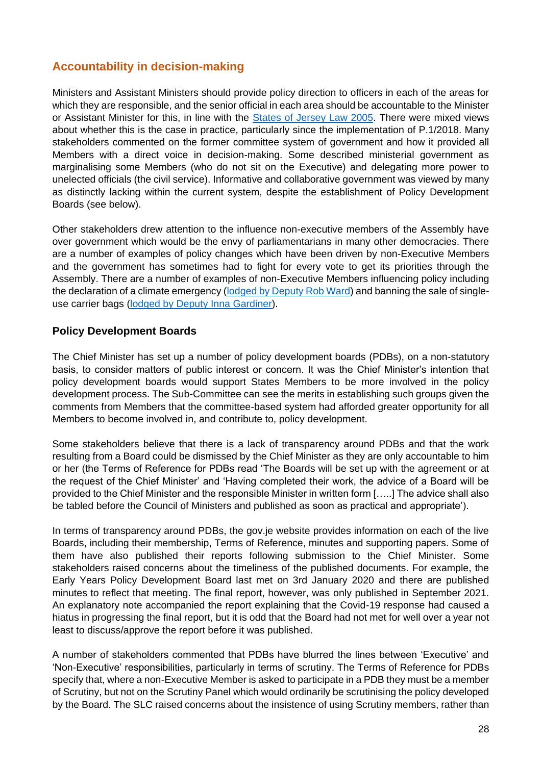## <span id="page-29-0"></span>**Accountability in decision-making**

Ministers and Assistant Ministers should provide policy direction to officers in each of the areas for which they are responsible, and the senior official in each area should be accountable to the Minister or Assistant Minister for this, in line with the [States of Jersey Law 2005.](https://www.jerseylaw.je/laws/revised/PDFs/16.800.pdf) There were mixed views about whether this is the case in practice, particularly since the implementation of P.1/2018. Many stakeholders commented on the former committee system of government and how it provided all Members with a direct voice in decision-making. Some described ministerial government as marginalising some Members (who do not sit on the Executive) and delegating more power to unelected officials (the civil service). Informative and collaborative government was viewed by many as distinctly lacking within the current system, despite the establishment of Policy Development Boards (see below).

Other stakeholders drew attention to the influence non-executive members of the Assembly have over government which would be the envy of parliamentarians in many other democracies. There are a number of examples of policy changes which have been driven by non-Executive Members and the government has sometimes had to fight for every vote to get its priorities through the Assembly. There are a number of examples of non-Executive Members influencing policy including the declaration of a climate emergency [\(lodged by Deputy Rob Ward\)](https://statesassembly.gov.je/assemblypropositions/2019/p.27-2019.pdf) and banning the sale of singleuse carrier bags (lodged [by Deputy Inna Gardiner\)](https://statesassembly.gov.je/assemblypropositions/2020/p.64-2020.pdf).

### <span id="page-29-1"></span>**Policy Development Boards**

The Chief Minister has set up a number of policy development boards (PDBs), on a non-statutory basis, to consider matters of public interest or concern. It was the Chief Minister's intention that policy development boards would support States Members to be more involved in the policy development process. The Sub-Committee can see the merits in establishing such groups given the comments from Members that the committee-based system had afforded greater opportunity for all Members to become involved in, and contribute to, policy development.

Some stakeholders believe that there is a lack of transparency around PDBs and that the work resulting from a Board could be dismissed by the Chief Minister as they are only accountable to him or her (the Terms of Reference for PDBs read 'The Boards will be set up with the agreement or at the request of the Chief Minister' and 'Having completed their work, the advice of a Board will be provided to the Chief Minister and the responsible Minister in written form […..] The advice shall also be tabled before the Council of Ministers and published as soon as practical and appropriate').

In terms of transparency around PDBs, the gov.je website provides information on each of the live Boards, including their membership, Terms of Reference, minutes and supporting papers. Some of them have also published their reports following submission to the Chief Minister. Some stakeholders raised concerns about the timeliness of the published documents. For example, the Early Years Policy Development Board last met on 3rd January 2020 and there are published minutes to reflect that meeting. The final report, however, was only published in September 2021. An explanatory note accompanied the report explaining that the Covid-19 response had caused a hiatus in progressing the final report, but it is odd that the Board had not met for well over a year not least to discuss/approve the report before it was published.

A number of stakeholders commented that PDBs have blurred the lines between 'Executive' and 'Non-Executive' responsibilities, particularly in terms of scrutiny. The Terms of Reference for PDBs specify that, where a non-Executive Member is asked to participate in a PDB they must be a member of Scrutiny, but not on the Scrutiny Panel which would ordinarily be scrutinising the policy developed by the Board. The SLC raised concerns about the insistence of using Scrutiny members, rather than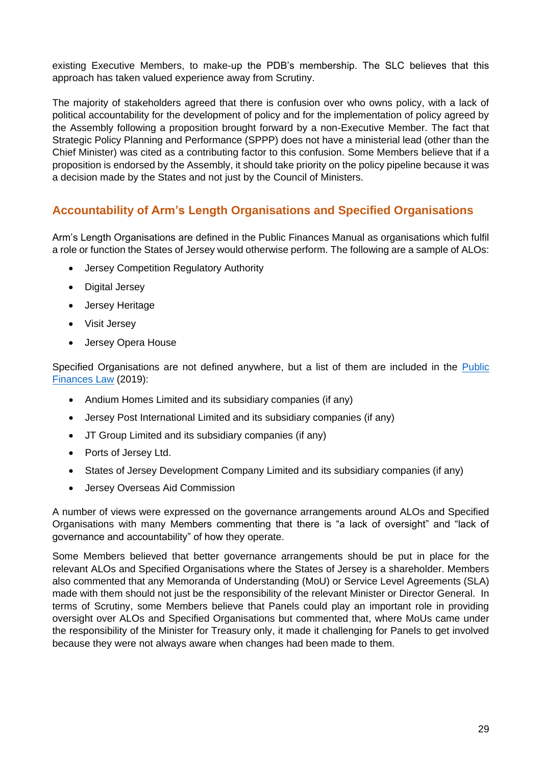existing Executive Members, to make-up the PDB's membership. The SLC believes that this approach has taken valued experience away from Scrutiny.

The majority of stakeholders agreed that there is confusion over who owns policy, with a lack of political accountability for the development of policy and for the implementation of policy agreed by the Assembly following a proposition brought forward by a non-Executive Member. The fact that Strategic Policy Planning and Performance (SPPP) does not have a ministerial lead (other than the Chief Minister) was cited as a contributing factor to this confusion. Some Members believe that if a proposition is endorsed by the Assembly, it should take priority on the policy pipeline because it was a decision made by the States and not just by the Council of Ministers.

## <span id="page-30-0"></span>**Accountability of Arm's Length Organisations and Specified Organisations**

Arm's Length Organisations are defined in the Public Finances Manual as organisations which fulfil a role or function the States of Jersey would otherwise perform. The following are a sample of ALOs:

- Jersey Competition Regulatory Authority
- Digital Jersey
- Jersey Heritage
- Visit Jersey
- Jersey Opera House

Specified Organisations are not defined anywhere, but a list of them are included in the [Public](https://www.jerseylaw.je/laws/enacted/Pages/L-10-2019.aspx#_Toc10562725)  [Finances Law](https://www.jerseylaw.je/laws/enacted/Pages/L-10-2019.aspx#_Toc10562725) (2019):

- Andium Homes Limited and its subsidiary companies (if any)
- Jersey Post International Limited and its subsidiary companies (if any)
- JT Group Limited and its subsidiary companies (if any)
- Ports of Jersey Ltd.
- States of Jersey Development Company Limited and its subsidiary companies (if any)
- Jersey Overseas Aid Commission

A number of views were expressed on the governance arrangements around ALOs and Specified Organisations with many Members commenting that there is "a lack of oversight" and "lack of governance and accountability" of how they operate.

Some Members believed that better governance arrangements should be put in place for the relevant ALOs and Specified Organisations where the States of Jersey is a shareholder. Members also commented that any Memoranda of Understanding (MoU) or Service Level Agreements (SLA) made with them should not just be the responsibility of the relevant Minister or Director General. In terms of Scrutiny, some Members believe that Panels could play an important role in providing oversight over ALOs and Specified Organisations but commented that, where MoUs came under the responsibility of the Minister for Treasury only, it made it challenging for Panels to get involved because they were not always aware when changes had been made to them.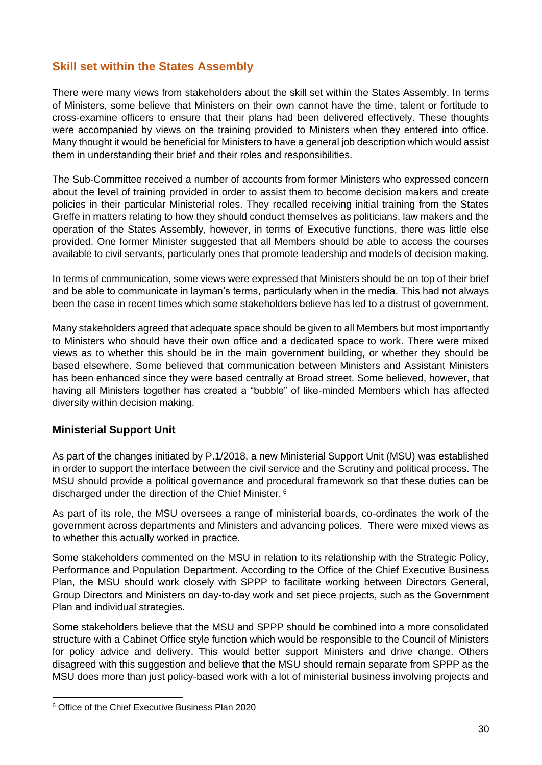## <span id="page-31-0"></span>**Skill set within the States Assembly**

There were many views from stakeholders about the skill set within the States Assembly. In terms of Ministers, some believe that Ministers on their own cannot have the time, talent or fortitude to cross-examine officers to ensure that their plans had been delivered effectively. These thoughts were accompanied by views on the training provided to Ministers when they entered into office. Many thought it would be beneficial for Ministers to have a general job description which would assist them in understanding their brief and their roles and responsibilities.

The Sub-Committee received a number of accounts from former Ministers who expressed concern about the level of training provided in order to assist them to become decision makers and create policies in their particular Ministerial roles. They recalled receiving initial training from the States Greffe in matters relating to how they should conduct themselves as politicians, law makers and the operation of the States Assembly, however, in terms of Executive functions, there was little else provided. One former Minister suggested that all Members should be able to access the courses available to civil servants, particularly ones that promote leadership and models of decision making.

In terms of communication, some views were expressed that Ministers should be on top of their brief and be able to communicate in layman's terms, particularly when in the media. This had not always been the case in recent times which some stakeholders believe has led to a distrust of government.

Many stakeholders agreed that adequate space should be given to all Members but most importantly to Ministers who should have their own office and a dedicated space to work. There were mixed views as to whether this should be in the main government building, or whether they should be based elsewhere. Some believed that communication between Ministers and Assistant Ministers has been enhanced since they were based centrally at Broad street. Some believed, however, that having all Ministers together has created a "bubble" of like-minded Members which has affected diversity within decision making.

#### <span id="page-31-1"></span>**Ministerial Support Unit**

As part of the changes initiated by P.1/2018, a new Ministerial Support Unit (MSU) was established in order to support the interface between the civil service and the Scrutiny and political process. The MSU should provide a political governance and procedural framework so that these duties can be discharged under the direction of the Chief Minister. <sup>6</sup>

As part of its role, the MSU oversees a range of ministerial boards, co-ordinates the work of the government across departments and Ministers and advancing polices. There were mixed views as to whether this actually worked in practice.

Some stakeholders commented on the MSU in relation to its relationship with the Strategic Policy, Performance and Population Department. According to the Office of the Chief Executive Business Plan, the MSU should work closely with SPPP to facilitate working between Directors General, Group Directors and Ministers on day-to-day work and set piece projects, such as the Government Plan and individual strategies.

Some stakeholders believe that the MSU and SPPP should be combined into a more consolidated structure with a Cabinet Office style function which would be responsible to the Council of Ministers for policy advice and delivery. This would better support Ministers and drive change. Others disagreed with this suggestion and believe that the MSU should remain separate from SPPP as the MSU does more than just policy-based work with a lot of ministerial business involving projects and

<sup>6</sup> Office of the Chief Executive Business Plan 2020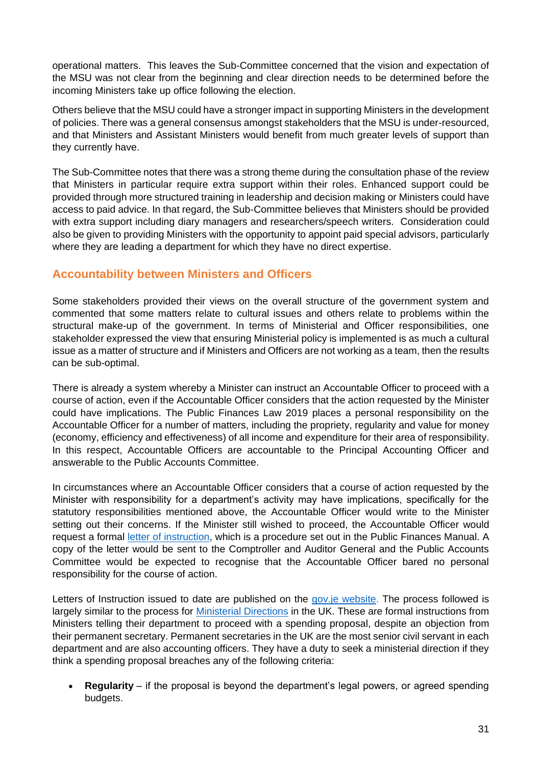operational matters. This leaves the Sub-Committee concerned that the vision and expectation of the MSU was not clear from the beginning and clear direction needs to be determined before the incoming Ministers take up office following the election.

Others believe that the MSU could have a stronger impact in supporting Ministers in the development of policies. There was a general consensus amongst stakeholders that the MSU is under-resourced, and that Ministers and Assistant Ministers would benefit from much greater levels of support than they currently have.

The Sub-Committee notes that there was a strong theme during the consultation phase of the review that Ministers in particular require extra support within their roles. Enhanced support could be provided through more structured training in leadership and decision making or Ministers could have access to paid advice. In that regard, the Sub-Committee believes that Ministers should be provided with extra support including diary managers and researchers/speech writers. Consideration could also be given to providing Ministers with the opportunity to appoint paid special advisors, particularly where they are leading a department for which they have no direct expertise.

## <span id="page-32-0"></span>**Accountability between Ministers and Officers**

Some stakeholders provided their views on the overall structure of the government system and commented that some matters relate to cultural issues and others relate to problems within the structural make-up of the government. In terms of Ministerial and Officer responsibilities, one stakeholder expressed the view that ensuring Ministerial policy is implemented is as much a cultural issue as a matter of structure and if Ministers and Officers are not working as a team, then the results can be sub-optimal.

There is already a system whereby a Minister can instruct an Accountable Officer to proceed with a course of action, even if the Accountable Officer considers that the action requested by the Minister could have implications. The Public Finances Law 2019 places a personal responsibility on the Accountable Officer for a number of matters, including the propriety, regularity and value for money (economy, efficiency and effectiveness) of all income and expenditure for their area of responsibility. In this respect, Accountable Officers are accountable to the Principal Accounting Officer and answerable to the Public Accounts Committee.

In circumstances where an Accountable Officer considers that a course of action requested by the Minister with responsibility for a department's activity may have implications, specifically for the statutory responsibilities mentioned above, the Accountable Officer would write to the Minister setting out their concerns. If the Minister still wished to proceed, the Accountable Officer would request a formal [letter of instruction,](https://www.gov.je/government/planningperformance/publicfinances/pages/lettersofinstruction.aspx) which is a procedure set out in the Public Finances Manual. A copy of the letter would be sent to the Comptroller and Auditor General and the Public Accounts Committee would be expected to recognise that the Accountable Officer bared no personal responsibility for the course of action.

Letters of Instruction issued to date are published on the gov. je website. The process followed is largely similar to the process for [Ministerial Directions](http://twitter.com/intent/tweet?text=What%20are%20ministerial%20directions%3F) in the UK. These are formal instructions from Ministers telling their department to proceed with a spending proposal, despite an objection from their permanent secretary. Permanent secretaries in the UK are the most senior civil servant in each department and are also accounting officers. They have a duty to seek a ministerial direction if they think a spending proposal breaches any of the following criteria:

• **Regularity** – if the proposal is beyond the department's legal powers, or agreed spending budgets.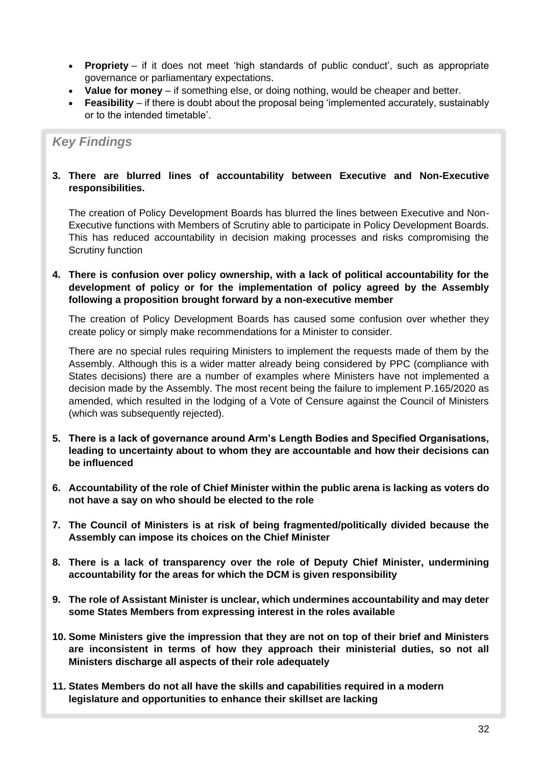- **Propriety** if it does not meet 'high standards of public conduct', such as appropriate governance or parliamentary expectations.
- **Value for money** if something else, or doing nothing, would be cheaper and better.
- **Feasibility** if there is doubt about the proposal being 'implemented accurately, sustainably or to the intended timetable'.

## *Key Findings*

#### **3. There are blurred lines of accountability between Executive and Non-Executive responsibilities.**

The creation of Policy Development Boards has blurred the lines between Executive and Non-Executive functions with Members of Scrutiny able to participate in Policy Development Boards. This has reduced accountability in decision making processes and risks compromising the Scrutiny function

#### **4. There is confusion over policy ownership, with a lack of political accountability for the development of policy or for the implementation of policy agreed by the Assembly following a proposition brought forward by a non-executive member**

The creation of Policy Development Boards has caused some confusion over whether they create policy or simply make recommendations for a Minister to consider.

There are no special rules requiring Ministers to implement the requests made of them by the Assembly. Although this is a wider matter already being considered by PPC (compliance with States decisions) there are a number of examples where Ministers have not implemented a decision made by the Assembly. The most recent being the failure to implement P.165/2020 as amended, which resulted in the lodging of a Vote of Censure against the Council of Ministers (which was subsequently rejected).

- **5. There is a lack of governance around Arm's Length Bodies and Specified Organisations, leading to uncertainty about to whom they are accountable and how their decisions can be influenced**
- **6. Accountability of the role of Chief Minister within the public arena is lacking as voters do not have a say on who should be elected to the role**
- **7. The Council of Ministers is at risk of being fragmented/politically divided because the Assembly can impose its choices on the Chief Minister**
- **8. There is a lack of transparency over the role of Deputy Chief Minister, undermining accountability for the areas for which the DCM is given responsibility**
- **9. The role of Assistant Minister is unclear, which undermines accountability and may deter some States Members from expressing interest in the roles available**
- **10. Some Ministers give the impression that they are not on top of their brief and Ministers are inconsistent in terms of how they approach their ministerial duties, so not all Ministers discharge all aspects of their role adequately**
- **11. States Members do not all have the skills and capabilities required in a modern legislature and opportunities to enhance their skillset are lacking**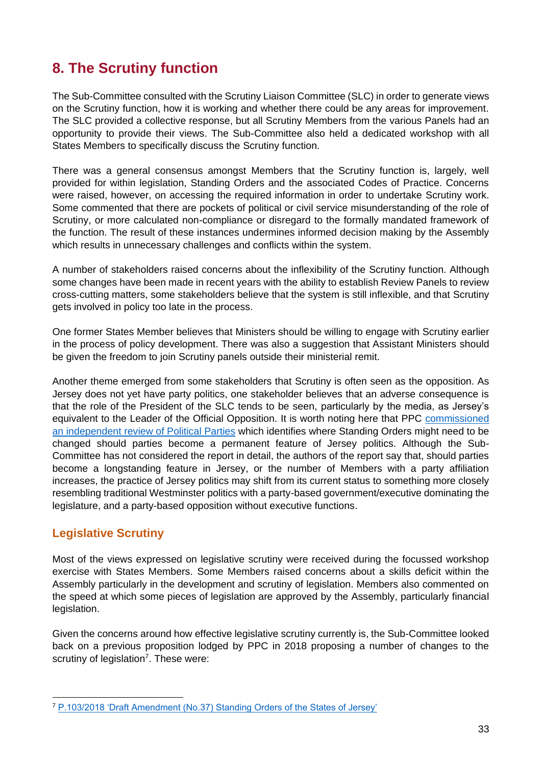## <span id="page-34-0"></span>**8. The Scrutiny function**

The Sub-Committee consulted with the Scrutiny Liaison Committee (SLC) in order to generate views on the Scrutiny function, how it is working and whether there could be any areas for improvement. The SLC provided a collective response, but all Scrutiny Members from the various Panels had an opportunity to provide their views. The Sub-Committee also held a dedicated workshop with all States Members to specifically discuss the Scrutiny function.

There was a general consensus amongst Members that the Scrutiny function is, largely, well provided for within legislation, Standing Orders and the associated Codes of Practice. Concerns were raised, however, on accessing the required information in order to undertake Scrutiny work. Some commented that there are pockets of political or civil service misunderstanding of the role of Scrutiny, or more calculated non-compliance or disregard to the formally mandated framework of the function. The result of these instances undermines informed decision making by the Assembly which results in unnecessary challenges and conflicts within the system.

A number of stakeholders raised concerns about the inflexibility of the Scrutiny function. Although some changes have been made in recent years with the ability to establish Review Panels to review cross-cutting matters, some stakeholders believe that the system is still inflexible, and that Scrutiny gets involved in policy too late in the process.

One former States Member believes that Ministers should be willing to engage with Scrutiny earlier in the process of policy development. There was also a suggestion that Assistant Ministers should be given the freedom to join Scrutiny panels outside their ministerial remit.

Another theme emerged from some stakeholders that Scrutiny is often seen as the opposition. As Jersey does not yet have party politics, one stakeholder believes that an adverse consequence is that the role of the President of the SLC tends to be seen, particularly by the media, as Jersey's equivalent to the Leader of the Official Opposition. It is worth noting here that PPC [commissioned](https://statesassembly.gov.je/assemblyreports/2021/r.165-2021.pdf)  [an independent review of Political Parties](https://statesassembly.gov.je/assemblyreports/2021/r.165-2021.pdf) which identifies where Standing Orders might need to be changed should parties become a permanent feature of Jersey politics. Although the Sub-Committee has not considered the report in detail, the authors of the report say that, should parties become a longstanding feature in Jersey, or the number of Members with a party affiliation increases, the practice of Jersey politics may shift from its current status to something more closely resembling traditional Westminster politics with a party-based government/executive dominating the legislature, and a party-based opposition without executive functions.

## <span id="page-34-1"></span>**Legislative Scrutiny**

Most of the views expressed on legislative scrutiny were received during the focussed workshop exercise with States Members. Some Members raised concerns about a skills deficit within the Assembly particularly in the development and scrutiny of legislation. Members also commented on the speed at which some pieces of legislation are approved by the Assembly, particularly financial legislation.

Given the concerns around how effective legislative scrutiny currently is, the Sub-Committee looked back on a previous proposition lodged by PPC in 2018 proposing a number of changes to the scrutiny of legislation<sup>7</sup>. These were:

<sup>7</sup> [P.103/2018 'Draft Amendment \(No.37\) Standing Orders of the States of Jersey'](https://statesassembly.gov.je/assemblypropositions/2018/p.103-2018.pdf)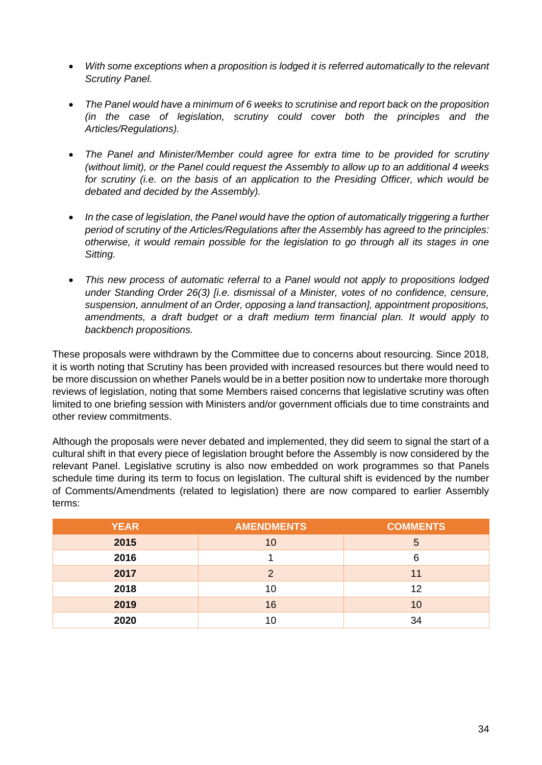- *With some exceptions when a proposition is lodged it is referred automatically to the relevant Scrutiny Panel.*
- *The Panel would have a minimum of 6 weeks to scrutinise and report back on the proposition (in the case of legislation, scrutiny could cover both the principles and the Articles/Regulations).*
- *The Panel and Minister/Member could agree for extra time to be provided for scrutiny (without limit), or the Panel could request the Assembly to allow up to an additional 4 weeks for scrutiny (i.e. on the basis of an application to the Presiding Officer, which would be debated and decided by the Assembly).*
- *In the case of legislation, the Panel would have the option of automatically triggering a further period of scrutiny of the Articles/Regulations after the Assembly has agreed to the principles: otherwise, it would remain possible for the legislation to go through all its stages in one Sitting.*
- *This new process of automatic referral to a Panel would not apply to propositions lodged under Standing Order 26(3) [i.e. dismissal of a Minister, votes of no confidence, censure, suspension, annulment of an Order, opposing a land transaction], appointment propositions, amendments, a draft budget or a draft medium term financial plan. It would apply to backbench propositions.*

These proposals were withdrawn by the Committee due to concerns about resourcing. Since 2018, it is worth noting that Scrutiny has been provided with increased resources but there would need to be more discussion on whether Panels would be in a better position now to undertake more thorough reviews of legislation, noting that some Members raised concerns that legislative scrutiny was often limited to one briefing session with Ministers and/or government officials due to time constraints and other review commitments.

Although the proposals were never debated and implemented, they did seem to signal the start of a cultural shift in that every piece of legislation brought before the Assembly is now considered by the relevant Panel. Legislative scrutiny is also now embedded on work programmes so that Panels schedule time during its term to focus on legislation. The cultural shift is evidenced by the number of Comments/Amendments (related to legislation) there are now compared to earlier Assembly terms:

| <b>YEAR</b> | <b>AMENDMENTS</b> | <b>COMMENTS</b> |  |
|-------------|-------------------|-----------------|--|
| 2015        | 10                | 5               |  |
| 2016        |                   | 6               |  |
| 2017        | ⌒                 | 11              |  |
| 2018        | 10                | 12              |  |
| 2019        | 16                | 10              |  |
| 2020        | 10                | 34              |  |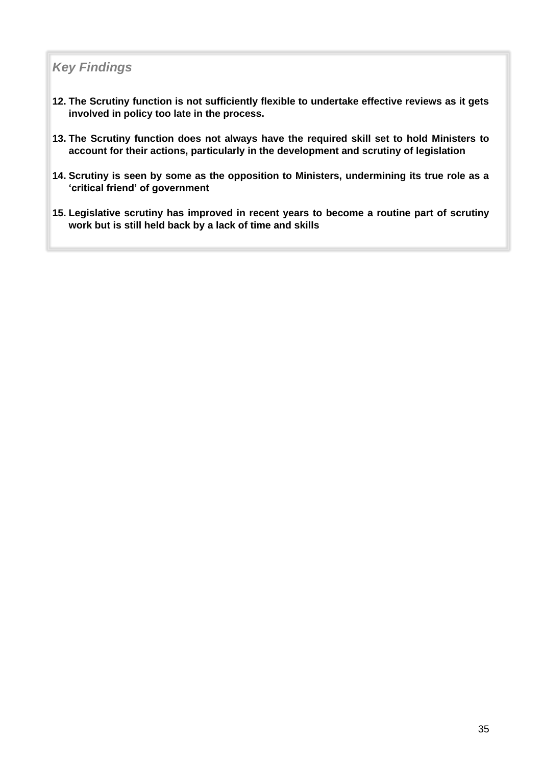## *Key Findings*

- **12. The Scrutiny function is not sufficiently flexible to undertake effective reviews as it gets involved in policy too late in the process.**
- **13. The Scrutiny function does not always have the required skill set to hold Ministers to account for their actions, particularly in the development and scrutiny of legislation**
- **14. Scrutiny is seen by some as the opposition to Ministers, undermining its true role as a 'critical friend' of government**
- **15. Legislative scrutiny has improved in recent years to become a routine part of scrutiny work but is still held back by a lack of time and skills**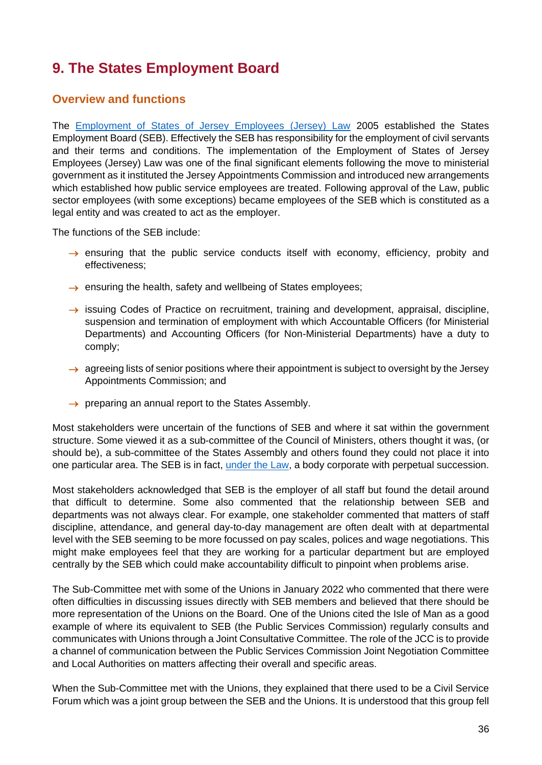## <span id="page-37-0"></span>**9. The States Employment Board**

### <span id="page-37-1"></span>**Overview and functions**

The [Employment of States of Jersey Employees \(Jersey\) Law](https://www.jerseylaw.je/laws/revised/PDFs/16.325.pdf) 2005 established the States Employment Board (SEB). Effectively the SEB has responsibility for the employment of civil servants and their terms and conditions. The implementation of the Employment of States of Jersey Employees (Jersey) Law was one of the final significant elements following the move to ministerial government as it instituted the Jersey Appointments Commission and introduced new arrangements which established how public service employees are treated. Following approval of the Law, public sector employees (with some exceptions) became employees of the SEB which is constituted as a legal entity and was created to act as the employer.

The functions of the SEB include:

- $\rightarrow$  ensuring that the public service conducts itself with economy, efficiency, probity and effectiveness;
- $\rightarrow$  ensuring the health, safety and wellbeing of States employees;
- $\rightarrow$  issuing Codes of Practice on recruitment, training and development, appraisal, discipline, suspension and termination of employment with which Accountable Officers (for Ministerial Departments) and Accounting Officers (for Non-Ministerial Departments) have a duty to comply;
- $\rightarrow$  agreeing lists of senior positions where their appointment is subject to oversight by the Jersey Appointments Commission; and
- $\rightarrow$  preparing an annual report to the States Assembly.

Most stakeholders were uncertain of the functions of SEB and where it sat within the government structure. Some viewed it as a sub-committee of the Council of Ministers, others thought it was, (or should be), a sub-committee of the States Assembly and others found they could not place it into one particular area. The SEB is in fact, [under the Law,](https://www.jerseylaw.je/laws/current/PDFs/16.325.pdf) a body corporate with perpetual succession.

Most stakeholders acknowledged that SEB is the employer of all staff but found the detail around that difficult to determine. Some also commented that the relationship between SEB and departments was not always clear. For example, one stakeholder commented that matters of staff discipline, attendance, and general day-to-day management are often dealt with at departmental level with the SEB seeming to be more focussed on pay scales, polices and wage negotiations. This might make employees feel that they are working for a particular department but are employed centrally by the SEB which could make accountability difficult to pinpoint when problems arise.

The Sub-Committee met with some of the Unions in January 2022 who commented that there were often difficulties in discussing issues directly with SEB members and believed that there should be more representation of the Unions on the Board. One of the Unions cited the Isle of Man as a good example of where its equivalent to SEB (the Public Services Commission) regularly consults and communicates with Unions through a Joint Consultative Committee. The role of the JCC is to provide a channel of communication between the Public Services Commission Joint Negotiation Committee and Local Authorities on matters affecting their overall and specific areas.

When the Sub-Committee met with the Unions, they explained that there used to be a Civil Service Forum which was a joint group between the SEB and the Unions. It is understood that this group fell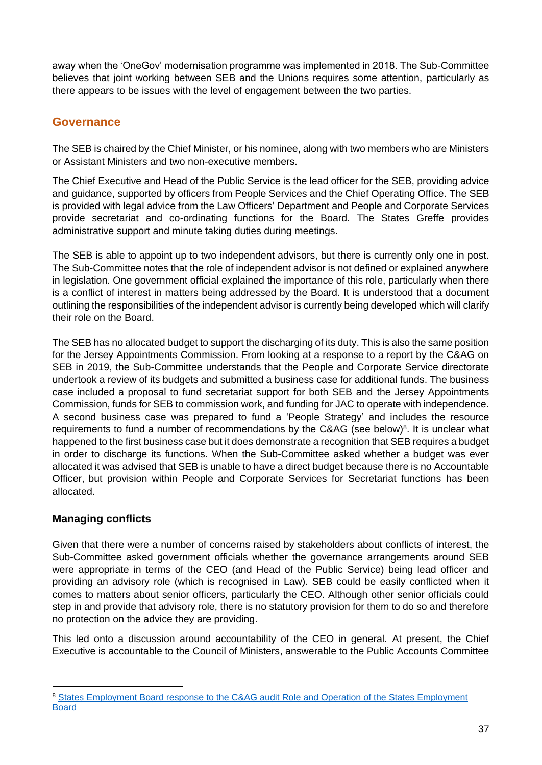away when the 'OneGov' modernisation programme was implemented in 2018. The Sub-Committee believes that joint working between SEB and the Unions requires some attention, particularly as there appears to be issues with the level of engagement between the two parties.

## <span id="page-38-0"></span>**Governance**

The SEB is chaired by the Chief Minister, or his nominee, along with two members who are Ministers or Assistant Ministers and two non-executive members.

The Chief Executive and Head of the Public Service is the lead officer for the SEB, providing advice and guidance, supported by officers from People Services and the Chief Operating Office. The SEB is provided with legal advice from the Law Officers' Department and People and Corporate Services provide secretariat and co-ordinating functions for the Board. The States Greffe provides administrative support and minute taking duties during meetings.

The SEB is able to appoint up to two independent advisors, but there is currently only one in post. The Sub-Committee notes that the role of independent advisor is not defined or explained anywhere in legislation. One government official explained the importance of this role, particularly when there is a conflict of interest in matters being addressed by the Board. It is understood that a document outlining the responsibilities of the independent advisor is currently being developed which will clarify their role on the Board.

The SEB has no allocated budget to support the discharging of its duty. This is also the same position for the Jersey Appointments Commission. From looking at a response to a report by the C&AG on SEB in 2019, the Sub-Committee understands that the People and Corporate Service directorate undertook a review of its budgets and submitted a business case for additional funds. The business case included a proposal to fund secretariat support for both SEB and the Jersey Appointments Commission, funds for SEB to commission work, and funding for JAC to operate with independence. A second business case was prepared to fund a 'People Strategy' and includes the resource requirements to fund a number of recommendations by the C&AG (see below)<sup>8</sup>. It is unclear what happened to the first business case but it does demonstrate a recognition that SEB requires a budget in order to discharge its functions. When the Sub-Committee asked whether a budget was ever allocated it was advised that SEB is unable to have a direct budget because there is no Accountable Officer, but provision within People and Corporate Services for Secretariat functions has been allocated.

### <span id="page-38-1"></span>**Managing conflicts**

Given that there were a number of concerns raised by stakeholders about conflicts of interest, the Sub-Committee asked government officials whether the governance arrangements around SEB were appropriate in terms of the CEO (and Head of the Public Service) being lead officer and providing an advisory role (which is recognised in Law). SEB could be easily conflicted when it comes to matters about senior officers, particularly the CEO. Although other senior officials could step in and provide that advisory role, there is no statutory provision for them to do so and therefore no protection on the advice they are providing.

This led onto a discussion around accountability of the CEO in general. At present, the Chief Executive is accountable to the Council of Ministers, answerable to the Public Accounts Committee

<sup>&</sup>lt;sup>8</sup> States Employment Board response to the C&AG audit Role and Operation of the States Employment [Board](https://statesassembly.gov.je/scrutinyreports/2019/r.35-2019%20seb%20pac%20comments%20and%20er%2028.05.2019.pdf)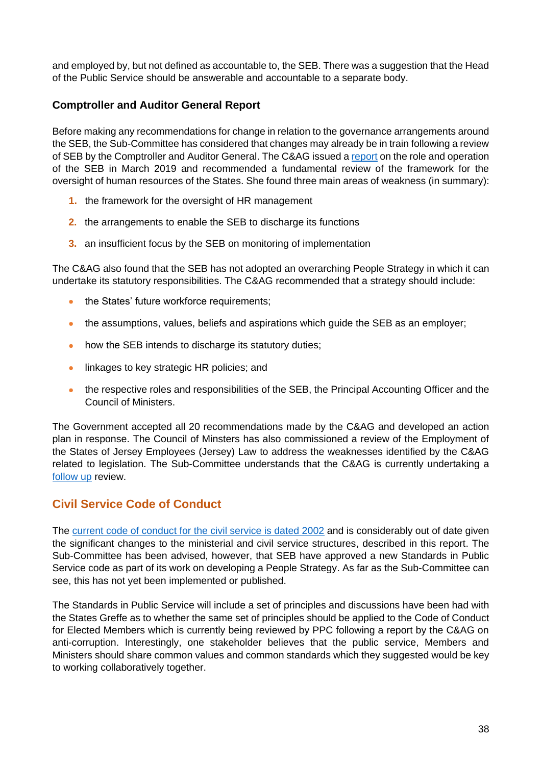and employed by, but not defined as accountable to, the SEB. There was a suggestion that the Head of the Public Service should be answerable and accountable to a separate body.

### <span id="page-39-0"></span>**Comptroller and Auditor General Report**

Before making any recommendations for change in relation to the governance arrangements around the SEB, the Sub-Committee has considered that changes may already be in train following a review of SEB by the Comptroller and Auditor General. The C&AG issued a [report](https://www.jerseyauditoffice.je/wp-content/uploads/2019/03/Role-and-Operation-of-the-States-Employment-Board-Report.pdf) on the role and operation of the SEB in March 2019 and recommended a fundamental review of the framework for the oversight of human resources of the States. She found three main areas of weakness (in summary):

- **1.** the framework for the oversight of HR management
- **2.** the arrangements to enable the SEB to discharge its functions
- **3.** an insufficient focus by the SEB on monitoring of implementation

The C&AG also found that the SEB has not adopted an overarching People Strategy in which it can undertake its statutory responsibilities. The C&AG recommended that a strategy should include:

- the States' future workforce requirements;
- the assumptions, values, beliefs and aspirations which quide the SEB as an employer;
- how the SEB intends to discharge its statutory duties;
- linkages to key strategic HR policies; and
- the respective roles and responsibilities of the SEB, the Principal Accounting Officer and the Council of Ministers.

The Government accepted all 20 recommendations made by the C&AG and developed an action plan in response. The Council of Minsters has also commissioned a review of the Employment of the States of Jersey Employees (Jersey) Law to address the weaknesses identified by the C&AG related to legislation. The Sub-Committee understands that the C&AG is currently undertaking a [follow up](https://www.jerseyauditoffice.je/wp-content/uploads/2021/03/Project-Specification-States-Employment-Board-Follow-up.pdf) review.

### <span id="page-39-1"></span>**Civil Service Code of Conduct**

The [current code of conduct for the civil service is dated 2002](https://www.gov.je/SiteCollectionDocuments/Working%20in%20Jersey/ID%20Employee%20Code%20of%20Conduct%202002%2020131114%20GC.pdf) and is considerably out of date given the significant changes to the ministerial and civil service structures, described in this report. The Sub-Committee has been advised, however, that SEB have approved a new Standards in Public Service code as part of its work on developing a People Strategy. As far as the Sub-Committee can see, this has not yet been implemented or published.

The Standards in Public Service will include a set of principles and discussions have been had with the States Greffe as to whether the same set of principles should be applied to the Code of Conduct for Elected Members which is currently being reviewed by PPC following a report by the C&AG on anti-corruption. Interestingly, one stakeholder believes that the public service, Members and Ministers should share common values and common standards which they suggested would be key to working collaboratively together.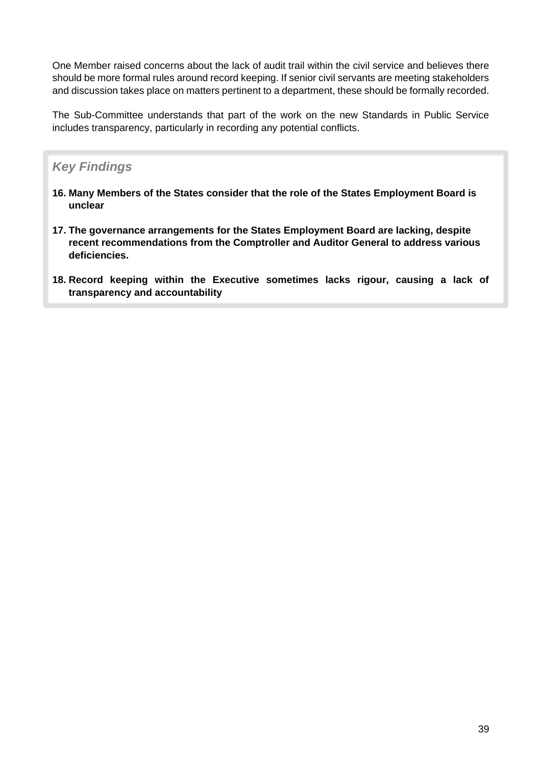One Member raised concerns about the lack of audit trail within the civil service and believes there should be more formal rules around record keeping. If senior civil servants are meeting stakeholders and discussion takes place on matters pertinent to a department, these should be formally recorded.

The Sub-Committee understands that part of the work on the new Standards in Public Service includes transparency, particularly in recording any potential conflicts.

## *Key Findings*

- **16. Many Members of the States consider that the role of the States Employment Board is unclear**
- **17. The governance arrangements for the States Employment Board are lacking, despite recent recommendations from the Comptroller and Auditor General to address various deficiencies.**
- **18. Record keeping within the Executive sometimes lacks rigour, causing a lack of transparency and accountability**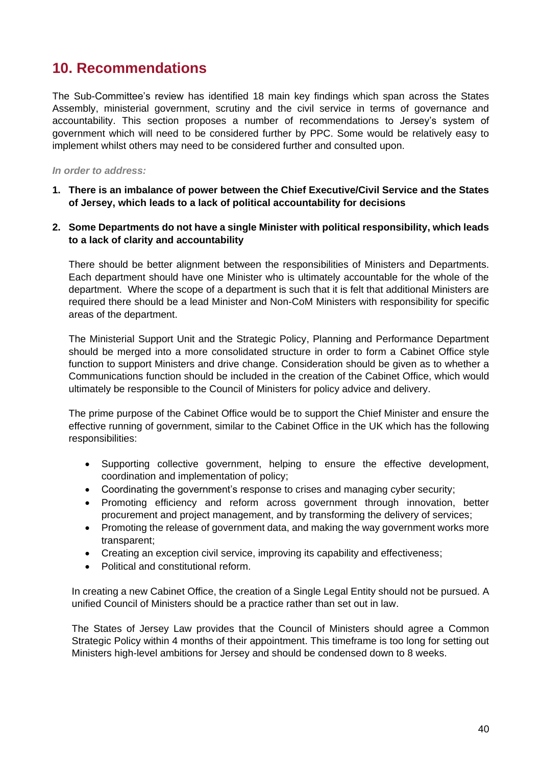## <span id="page-41-0"></span>**10. Recommendations**

The Sub-Committee's review has identified 18 main key findings which span across the States Assembly, ministerial government, scrutiny and the civil service in terms of governance and accountability. This section proposes a number of recommendations to Jersey's system of government which will need to be considered further by PPC. Some would be relatively easy to implement whilst others may need to be considered further and consulted upon.

#### *In order to address:*

- **1. There is an imbalance of power between the Chief Executive/Civil Service and the States of Jersey, which leads to a lack of political accountability for decisions**
- **2. Some Departments do not have a single Minister with political responsibility, which leads to a lack of clarity and accountability**

There should be better alignment between the responsibilities of Ministers and Departments. Each department should have one Minister who is ultimately accountable for the whole of the department. Where the scope of a department is such that it is felt that additional Ministers are required there should be a lead Minister and Non-CoM Ministers with responsibility for specific areas of the department.

The Ministerial Support Unit and the Strategic Policy, Planning and Performance Department should be merged into a more consolidated structure in order to form a Cabinet Office style function to support Ministers and drive change. Consideration should be given as to whether a Communications function should be included in the creation of the Cabinet Office, which would ultimately be responsible to the Council of Ministers for policy advice and delivery.

The prime purpose of the Cabinet Office would be to support the Chief Minister and ensure the effective running of government, similar to the Cabinet Office in the UK which has the following responsibilities:

- Supporting collective government, helping to ensure the effective development, coordination and implementation of policy;
- Coordinating the government's response to crises and managing cyber security;
- Promoting efficiency and reform across government through innovation, better procurement and project management, and by transforming the delivery of services;
- Promoting the release of government data, and making the way government works more transparent;
- Creating an exception civil service, improving its capability and effectiveness;
- Political and constitutional reform.

In creating a new Cabinet Office, the creation of a Single Legal Entity should not be pursued. A unified Council of Ministers should be a practice rather than set out in law.

The States of Jersey Law provides that the Council of Ministers should agree a Common Strategic Policy within 4 months of their appointment. This timeframe is too long for setting out Ministers high-level ambitions for Jersey and should be condensed down to 8 weeks.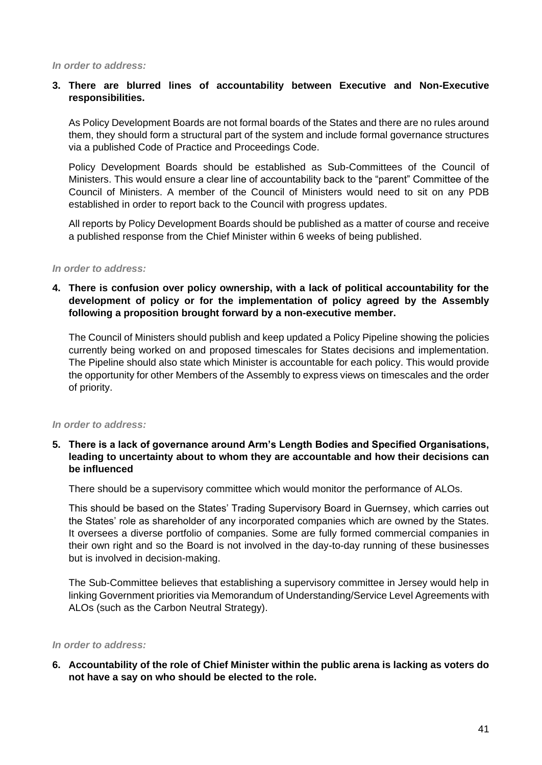*In order to address:*

#### **3. There are blurred lines of accountability between Executive and Non-Executive responsibilities.**

As Policy Development Boards are not formal boards of the States and there are no rules around them, they should form a structural part of the system and include formal governance structures via a published Code of Practice and Proceedings Code.

Policy Development Boards should be established as Sub-Committees of the Council of Ministers. This would ensure a clear line of accountability back to the "parent" Committee of the Council of Ministers. A member of the Council of Ministers would need to sit on any PDB established in order to report back to the Council with progress updates.

All reports by Policy Development Boards should be published as a matter of course and receive a published response from the Chief Minister within 6 weeks of being published.

#### *In order to address:*

**4. There is confusion over policy ownership, with a lack of political accountability for the development of policy or for the implementation of policy agreed by the Assembly following a proposition brought forward by a non-executive member.**

The Council of Ministers should publish and keep updated a Policy Pipeline showing the policies currently being worked on and proposed timescales for States decisions and implementation. The Pipeline should also state which Minister is accountable for each policy. This would provide the opportunity for other Members of the Assembly to express views on timescales and the order of priority.

#### *In order to address:*

#### **5. There is a lack of governance around Arm's Length Bodies and Specified Organisations, leading to uncertainty about to whom they are accountable and how their decisions can be influenced**

There should be a supervisory committee which would monitor the performance of ALOs.

This should be based on the States' Trading Supervisory Board in Guernsey, which carries out the States' role as shareholder of any incorporated companies which are owned by the States. It oversees a diverse portfolio of companies. Some are fully formed commercial companies in their own right and so the Board is not involved in the day-to-day running of these businesses but is involved in decision-making.

The Sub-Committee believes that establishing a supervisory committee in Jersey would help in linking Government priorities via Memorandum of Understanding/Service Level Agreements with ALOs (such as the Carbon Neutral Strategy).

#### *In order to address:*

**6. Accountability of the role of Chief Minister within the public arena is lacking as voters do not have a say on who should be elected to the role.**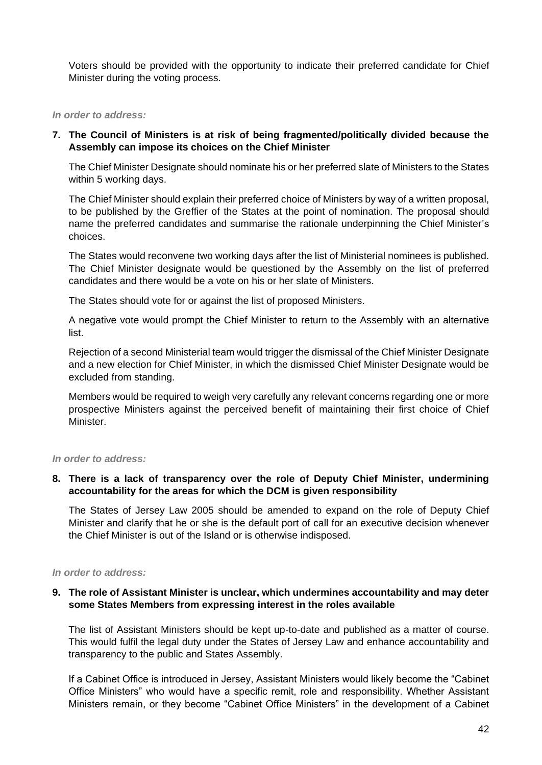Voters should be provided with the opportunity to indicate their preferred candidate for Chief Minister during the voting process.

#### *In order to address:*

#### **7. The Council of Ministers is at risk of being fragmented/politically divided because the Assembly can impose its choices on the Chief Minister**

The Chief Minister Designate should nominate his or her preferred slate of Ministers to the States within 5 working days.

The Chief Minister should explain their preferred choice of Ministers by way of a written proposal, to be published by the Greffier of the States at the point of nomination. The proposal should name the preferred candidates and summarise the rationale underpinning the Chief Minister's choices.

The States would reconvene two working days after the list of Ministerial nominees is published. The Chief Minister designate would be questioned by the Assembly on the list of preferred candidates and there would be a vote on his or her slate of Ministers.

The States should vote for or against the list of proposed Ministers.

A negative vote would prompt the Chief Minister to return to the Assembly with an alternative list.

Rejection of a second Ministerial team would trigger the dismissal of the Chief Minister Designate and a new election for Chief Minister, in which the dismissed Chief Minister Designate would be excluded from standing.

Members would be required to weigh very carefully any relevant concerns regarding one or more prospective Ministers against the perceived benefit of maintaining their first choice of Chief Minister.

#### *In order to address:*

#### **8. There is a lack of transparency over the role of Deputy Chief Minister, undermining accountability for the areas for which the DCM is given responsibility**

The States of Jersey Law 2005 should be amended to expand on the role of Deputy Chief Minister and clarify that he or she is the default port of call for an executive decision whenever the Chief Minister is out of the Island or is otherwise indisposed.

#### *In order to address:*

#### **9. The role of Assistant Minister is unclear, which undermines accountability and may deter some States Members from expressing interest in the roles available**

The list of Assistant Ministers should be kept up-to-date and published as a matter of course. This would fulfil the legal duty under the States of Jersey Law and enhance accountability and transparency to the public and States Assembly.

If a Cabinet Office is introduced in Jersey, Assistant Ministers would likely become the "Cabinet Office Ministers" who would have a specific remit, role and responsibility. Whether Assistant Ministers remain, or they become "Cabinet Office Ministers" in the development of a Cabinet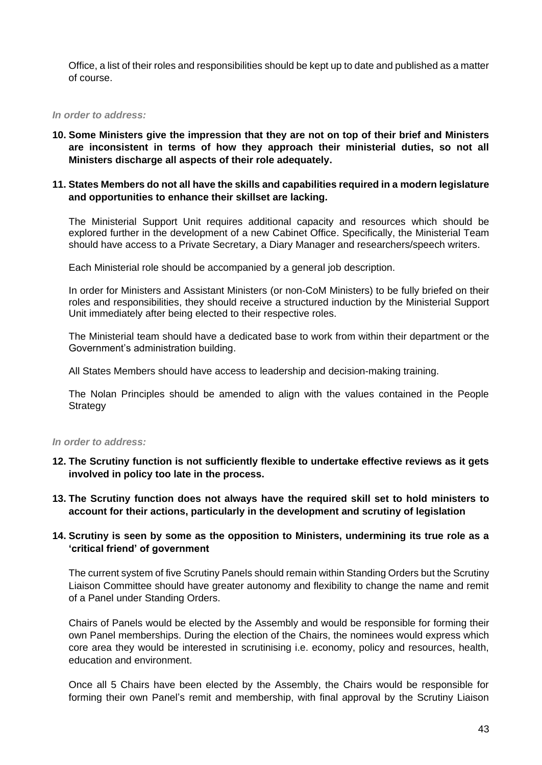Office, a list of their roles and responsibilities should be kept up to date and published as a matter of course.

#### *In order to address:*

**10. Some Ministers give the impression that they are not on top of their brief and Ministers are inconsistent in terms of how they approach their ministerial duties, so not all Ministers discharge all aspects of their role adequately.**

#### **11. States Members do not all have the skills and capabilities required in a modern legislature and opportunities to enhance their skillset are lacking.**

The Ministerial Support Unit requires additional capacity and resources which should be explored further in the development of a new Cabinet Office. Specifically, the Ministerial Team should have access to a Private Secretary, a Diary Manager and researchers/speech writers.

Each Ministerial role should be accompanied by a general job description.

In order for Ministers and Assistant Ministers (or non-CoM Ministers) to be fully briefed on their roles and responsibilities, they should receive a structured induction by the Ministerial Support Unit immediately after being elected to their respective roles.

The Ministerial team should have a dedicated base to work from within their department or the Government's administration building.

All States Members should have access to leadership and decision-making training.

The Nolan Principles should be amended to align with the values contained in the People **Strategy** 

#### *In order to address:*

- **12. The Scrutiny function is not sufficiently flexible to undertake effective reviews as it gets involved in policy too late in the process.**
- **13. The Scrutiny function does not always have the required skill set to hold ministers to account for their actions, particularly in the development and scrutiny of legislation**

#### **14. Scrutiny is seen by some as the opposition to Ministers, undermining its true role as a 'critical friend' of government**

The current system of five Scrutiny Panels should remain within Standing Orders but the Scrutiny Liaison Committee should have greater autonomy and flexibility to change the name and remit of a Panel under Standing Orders.

Chairs of Panels would be elected by the Assembly and would be responsible for forming their own Panel memberships. During the election of the Chairs, the nominees would express which core area they would be interested in scrutinising i.e. economy, policy and resources, health, education and environment.

Once all 5 Chairs have been elected by the Assembly, the Chairs would be responsible for forming their own Panel's remit and membership, with final approval by the Scrutiny Liaison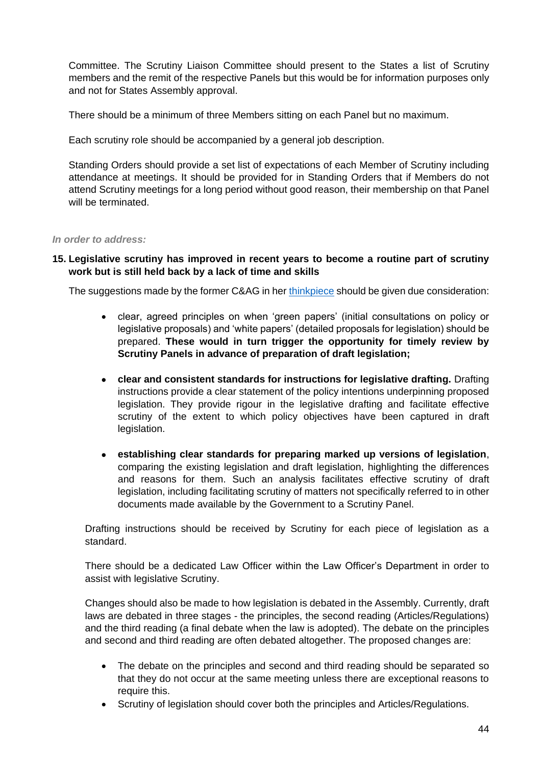Committee. The Scrutiny Liaison Committee should present to the States a list of Scrutiny members and the remit of the respective Panels but this would be for information purposes only and not for States Assembly approval.

There should be a minimum of three Members sitting on each Panel but no maximum.

Each scrutiny role should be accompanied by a general job description.

Standing Orders should provide a set list of expectations of each Member of Scrutiny including attendance at meetings. It should be provided for in Standing Orders that if Members do not attend Scrutiny meetings for a long period without good reason, their membership on that Panel will be terminated.

#### *In order to address:*

#### **15. Legislative scrutiny has improved in recent years to become a routine part of scrutiny work but is still held back by a lack of time and skills**

The suggestions made by the former C&AG in her [thinkpiece](https://www.jerseyauditoffice.je/wp-content/uploads/2019/12/Report-Governance-A-Thinkpiece-18.12.2019.pdf) should be given due consideration:

- clear, agreed principles on when 'green papers' (initial consultations on policy or legislative proposals) and 'white papers' (detailed proposals for legislation) should be prepared. **These would in turn trigger the opportunity for timely review by Scrutiny Panels in advance of preparation of draft legislation;**
- **clear and consistent standards for instructions for legislative drafting.** Drafting instructions provide a clear statement of the policy intentions underpinning proposed legislation. They provide rigour in the legislative drafting and facilitate effective scrutiny of the extent to which policy objectives have been captured in draft legislation.
- **establishing clear standards for preparing marked up versions of legislation**, comparing the existing legislation and draft legislation, highlighting the differences and reasons for them. Such an analysis facilitates effective scrutiny of draft legislation, including facilitating scrutiny of matters not specifically referred to in other documents made available by the Government to a Scrutiny Panel.

Drafting instructions should be received by Scrutiny for each piece of legislation as a standard.

There should be a dedicated Law Officer within the Law Officer's Department in order to assist with legislative Scrutiny.

Changes should also be made to how legislation is debated in the Assembly. Currently, draft laws are debated in three stages - the principles, the second reading (Articles/Regulations) and the third reading (a final debate when the law is adopted). The debate on the principles and second and third reading are often debated altogether. The proposed changes are:

- The debate on the principles and second and third reading should be separated so that they do not occur at the same meeting unless there are exceptional reasons to require this.
- Scrutiny of legislation should cover both the principles and Articles/Regulations.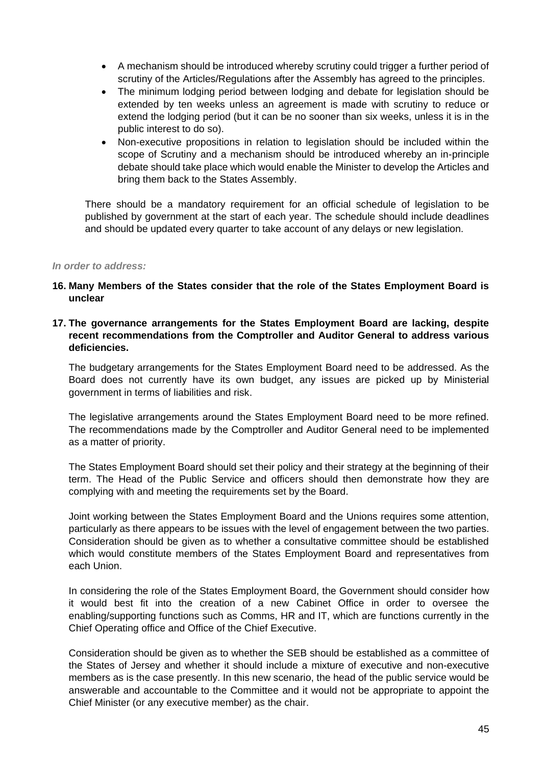- A mechanism should be introduced whereby scrutiny could trigger a further period of scrutiny of the Articles/Regulations after the Assembly has agreed to the principles.
- The minimum lodging period between lodging and debate for legislation should be extended by ten weeks unless an agreement is made with scrutiny to reduce or extend the lodging period (but it can be no sooner than six weeks, unless it is in the public interest to do so).
- Non-executive propositions in relation to legislation should be included within the scope of Scrutiny and a mechanism should be introduced whereby an in-principle debate should take place which would enable the Minister to develop the Articles and bring them back to the States Assembly.

There should be a mandatory requirement for an official schedule of legislation to be published by government at the start of each year. The schedule should include deadlines and should be updated every quarter to take account of any delays or new legislation.

#### *In order to address:*

- **16. Many Members of the States consider that the role of the States Employment Board is unclear**
- **17. The governance arrangements for the States Employment Board are lacking, despite recent recommendations from the Comptroller and Auditor General to address various deficiencies.**

The budgetary arrangements for the States Employment Board need to be addressed. As the Board does not currently have its own budget, any issues are picked up by Ministerial government in terms of liabilities and risk.

The legislative arrangements around the States Employment Board need to be more refined. The recommendations made by the Comptroller and Auditor General need to be implemented as a matter of priority.

The States Employment Board should set their policy and their strategy at the beginning of their term. The Head of the Public Service and officers should then demonstrate how they are complying with and meeting the requirements set by the Board.

Joint working between the States Employment Board and the Unions requires some attention, particularly as there appears to be issues with the level of engagement between the two parties. Consideration should be given as to whether a consultative committee should be established which would constitute members of the States Employment Board and representatives from each Union.

In considering the role of the States Employment Board, the Government should consider how it would best fit into the creation of a new Cabinet Office in order to oversee the enabling/supporting functions such as Comms, HR and IT, which are functions currently in the Chief Operating office and Office of the Chief Executive.

Consideration should be given as to whether the SEB should be established as a committee of the States of Jersey and whether it should include a mixture of executive and non-executive members as is the case presently. In this new scenario, the head of the public service would be answerable and accountable to the Committee and it would not be appropriate to appoint the Chief Minister (or any executive member) as the chair.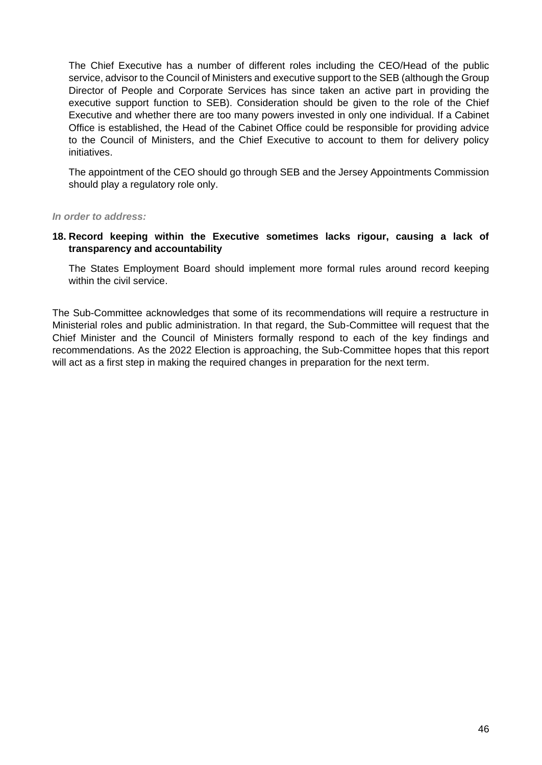The Chief Executive has a number of different roles including the CEO/Head of the public service, advisor to the Council of Ministers and executive support to the SEB (although the Group Director of People and Corporate Services has since taken an active part in providing the executive support function to SEB). Consideration should be given to the role of the Chief Executive and whether there are too many powers invested in only one individual. If a Cabinet Office is established, the Head of the Cabinet Office could be responsible for providing advice to the Council of Ministers, and the Chief Executive to account to them for delivery policy initiatives.

The appointment of the CEO should go through SEB and the Jersey Appointments Commission should play a regulatory role only.

*In order to address:*

#### **18. Record keeping within the Executive sometimes lacks rigour, causing a lack of transparency and accountability**

The States Employment Board should implement more formal rules around record keeping within the civil service.

The Sub-Committee acknowledges that some of its recommendations will require a restructure in Ministerial roles and public administration. In that regard, the Sub-Committee will request that the Chief Minister and the Council of Ministers formally respond to each of the key findings and recommendations. As the 2022 Election is approaching, the Sub-Committee hopes that this report will act as a first step in making the required changes in preparation for the next term.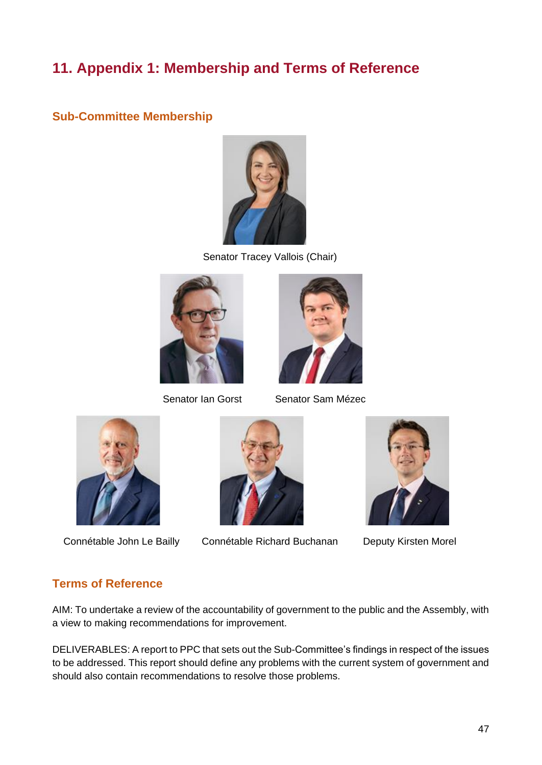## <span id="page-48-0"></span>**11. Appendix 1: Membership and Terms of Reference**

## <span id="page-48-1"></span>**Sub-Committee Membership**



Senator Tracey Vallois (Chair)





Senator Ian Gorst Senator Sam Mézec





Connétable John Le Bailly Connétable Richard Buchanan Deputy Kirsten Morel



## <span id="page-48-2"></span>**Terms of Reference**

AIM: To undertake a review of the accountability of government to the public and the Assembly, with a view to making recommendations for improvement.

DELIVERABLES: A report to PPC that sets out the Sub-Committee's findings in respect of the issues to be addressed. This report should define any problems with the current system of government and should also contain recommendations to resolve those problems.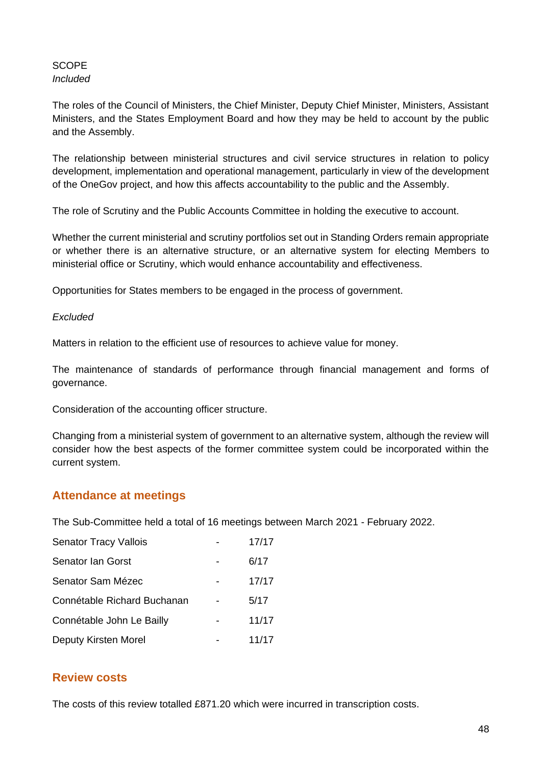**SCOPE** *Included*

The roles of the Council of Ministers, the Chief Minister, Deputy Chief Minister, Ministers, Assistant Ministers, and the States Employment Board and how they may be held to account by the public and the Assembly.

The relationship between ministerial structures and civil service structures in relation to policy development, implementation and operational management, particularly in view of the development of the OneGov project, and how this affects accountability to the public and the Assembly.

The role of Scrutiny and the Public Accounts Committee in holding the executive to account.

Whether the current ministerial and scrutiny portfolios set out in Standing Orders remain appropriate or whether there is an alternative structure, or an alternative system for electing Members to ministerial office or Scrutiny, which would enhance accountability and effectiveness.

Opportunities for States members to be engaged in the process of government.

#### *Excluded*

Matters in relation to the efficient use of resources to achieve value for money.

The maintenance of standards of performance through financial management and forms of governance.

Consideration of the accounting officer structure.

Changing from a ministerial system of government to an alternative system, although the review will consider how the best aspects of the former committee system could be incorporated within the current system.

#### <span id="page-49-0"></span>**Attendance at meetings**

The Sub-Committee held a total of 16 meetings between March 2021 - February 2022.

| <b>Senator Tracy Vallois</b> | 17/17 |
|------------------------------|-------|
| <b>Senator Ian Gorst</b>     | 6/17  |
| Senator Sam Mézec            | 17/17 |
| Connétable Richard Buchanan  | 5/17  |
| Connétable John Le Bailly    | 11/17 |
| Deputy Kirsten Morel         | 11/17 |

#### <span id="page-49-1"></span>**Review costs**

The costs of this review totalled £871.20 which were incurred in transcription costs.